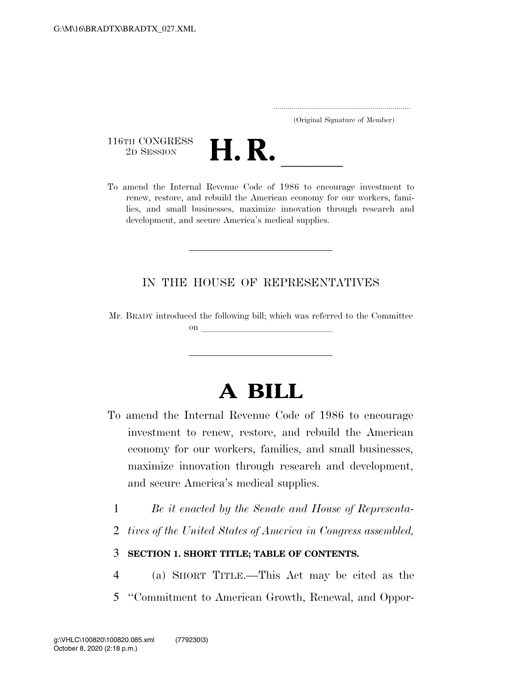..................................................................... (Original Signature of Member)

116TH CONGRESS<br>2D SESSION



116TH CONGRESS<br>
2D SESSION<br>
To amend the Internal Revenue Code of 1986 to encourage investment to renew, restore, and rebuild the American economy for our workers, families, and small businesses, maximize innovation through research and development, and secure America's medical supplies.

### IN THE HOUSE OF REPRESENTATIVES

Mr. BRADY introduced the following bill; which was referred to the Committee on llarge states and the states of the states of the states of the states of the states of the states of the s

# **A BILL**

- To amend the Internal Revenue Code of 1986 to encourage investment to renew, restore, and rebuild the American economy for our workers, families, and small businesses, maximize innovation through research and development, and secure America's medical supplies.
	- 1 *Be it enacted by the Senate and House of Representa-*
	- 2 *tives of the United States of America in Congress assembled,*

### 3 **SECTION 1. SHORT TITLE; TABLE OF CONTENTS.**

- 4 (a) SHORT TITLE.—This Act may be cited as the
- 5 ''Commitment to American Growth, Renewal, and Oppor-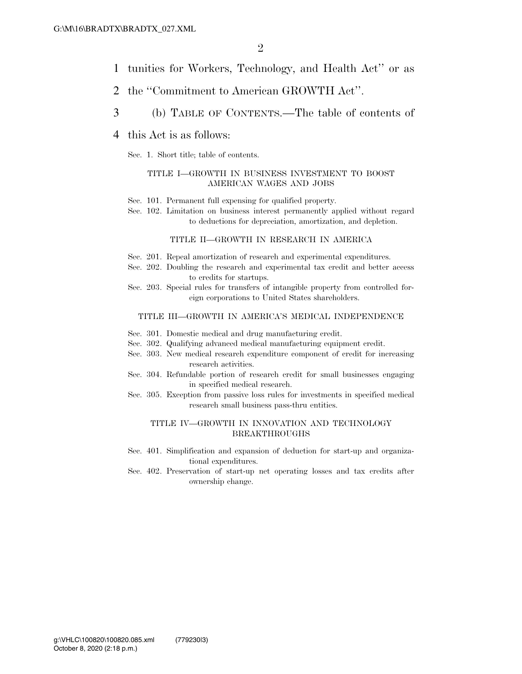- 1 tunities for Workers, Technology, and Health Act'' or as
- 2 the ''Commitment to American GROWTH Act''.
- 3 (b) TABLE OF CONTENTS.—The table of contents of

#### 4 this Act is as follows:

Sec. 1. Short title; table of contents.

#### TITLE I—GROWTH IN BUSINESS INVESTMENT TO BOOST AMERICAN WAGES AND JOBS

- Sec. 101. Permanent full expensing for qualified property.
- Sec. 102. Limitation on business interest permanently applied without regard to deductions for depreciation, amortization, and depletion.

#### TITLE II—GROWTH IN RESEARCH IN AMERICA

- Sec. 201. Repeal amortization of research and experimental expenditures.
- Sec. 202. Doubling the research and experimental tax credit and better access to credits for startups.
- Sec. 203. Special rules for transfers of intangible property from controlled foreign corporations to United States shareholders.

#### TITLE III—GROWTH IN AMERICA'S MEDICAL INDEPENDENCE

- Sec. 301. Domestic medical and drug manufacturing credit.
- Sec. 302. Qualifying advanced medical manufacturing equipment credit.
- Sec. 303. New medical research expenditure component of credit for increasing research activities.
- Sec. 304. Refundable portion of research credit for small businesses engaging in specified medical research.
- Sec. 305. Exception from passive loss rules for investments in specified medical research small business pass-thru entities.

#### TITLE IV—GROWTH IN INNOVATION AND TECHNOLOGY BREAKTHROUGHS

- Sec. 401. Simplification and expansion of deduction for start-up and organizational expenditures.
- Sec. 402. Preservation of start-up net operating losses and tax credits after ownership change.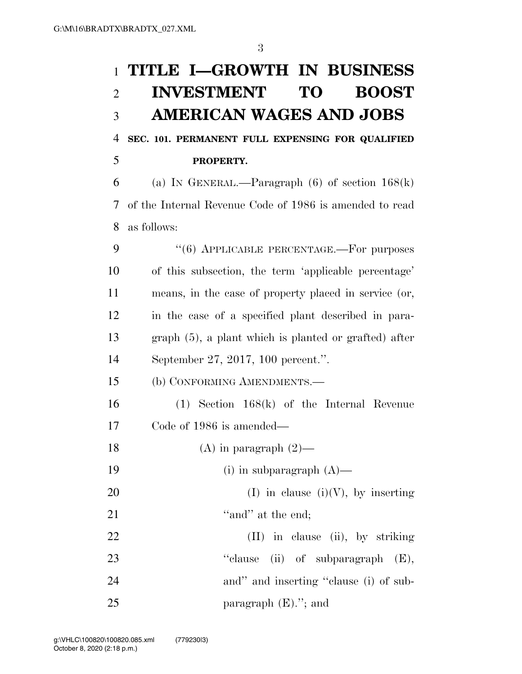# 1 **TITLE I—GROWTH IN BUSINESS**  2 **INVESTMENT TO BOOST**  3 **AMERICAN WAGES AND JOBS**

## 4 **SEC. 101. PERMANENT FULL EXPENSING FOR QUALIFIED**  5 **PROPERTY.**

6 (a) IN GENERAL.—Paragraph  $(6)$  of section  $168(k)$ 7 of the Internal Revenue Code of 1986 is amended to read 8 as follows:

9 "(6) APPLICABLE PERCENTAGE.—For purposes of this subsection, the term 'applicable percentage' means, in the case of property placed in service (or, in the case of a specified plant described in para- graph (5), a plant which is planted or grafted) after September 27, 2017, 100 percent.''.

15 (b) CONFORMING AMENDMENTS.—

16 (1) Section 168(k) of the Internal Revenue 17 Code of 1986 is amended—

18 (A) in paragraph  $(2)$ —

19 (i) in subparagraph  $(A)$ —

20 (I) in clause (i)(V), by inserting 21  $\qquad \qquad$  "and" at the end;

22 (II) in clause (ii), by striking 23 "clause (ii) of subparagraph  $(E)$ , 24 and inserting "clause (i) of sub-25 paragraph  $(E)$ ."; and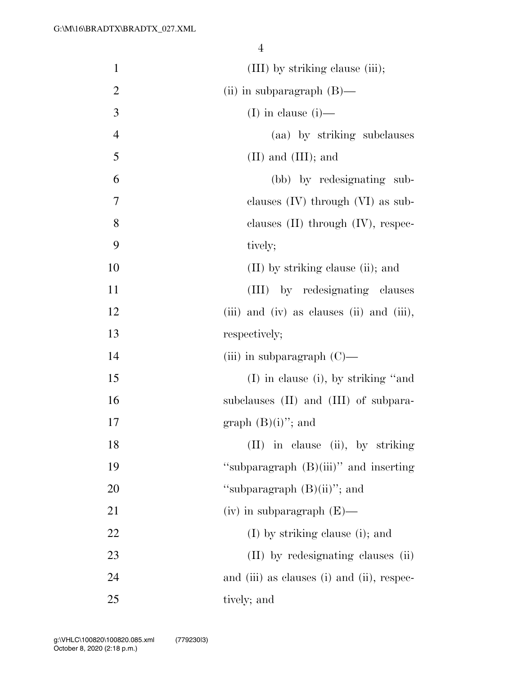| $\mathbf{1}$   | (III) by striking clause (iii);            |
|----------------|--------------------------------------------|
| $\overline{2}$ | (ii) in subparagraph $(B)$ —               |
| 3              | (I) in clause $(i)$ —                      |
| $\overline{4}$ | (aa) by striking subclauses                |
| 5              | $(II)$ and $(III)$ ; and                   |
| 6              | (bb) by redesignating sub-                 |
| 7              | clauses $(IV)$ through $(VI)$ as sub-      |
| 8              | clauses $(II)$ through $(IV)$ , respec-    |
| 9              | tively;                                    |
| 10             | $(II)$ by striking clause (ii); and        |
| 11             | (III) by redesignating clauses             |
| 12             | (iii) and (iv) as clauses (ii) and (iii),  |
| 13             | respectively;                              |
| 14             | (iii) in subparagraph $(C)$ —              |
| 15             | $(I)$ in clause (i), by striking "and      |
| 16             | subclauses (II) and (III) of subpara-      |
| 17             | graph $(B)(i)$ "; and                      |
| 18             | (II) in clause (ii), by striking           |
| 19             | "subparagraph (B)(iii)" and inserting      |
| 20             | "subparagraph $(B)(ii)$ "; and             |
| 21             | $(iv)$ in subparagraph $(E)$ —             |
| 22             | $(I)$ by striking clause (i); and          |
| 23             | (II) by redesignating clauses (ii)         |
| 24             | and (iii) as clauses (i) and (ii), respec- |
| 25             | tively; and                                |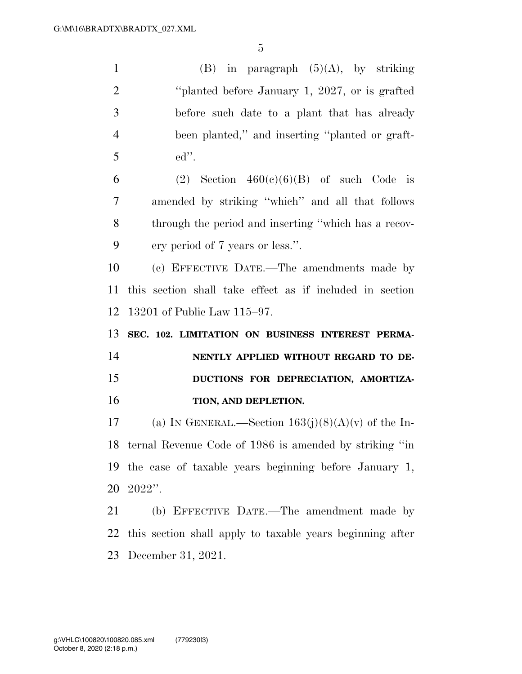1 (B) in paragraph  $(5)(A)$ , by striking 2 
<sup>2</sup> 'blanted before January 1, 2027, or is grafted before such date to a plant that has already been planted,'' and inserting ''planted or graft- ed''. 6 (2) Section  $460(e)(6)(B)$  of such Code is amended by striking ''which'' and all that follows through the period and inserting ''which has a recov- ery period of 7 years or less.''. (c) EFFECTIVE DATE.—The amendments made by this section shall take effect as if included in section 13201 of Public Law 115–97. **SEC. 102. LIMITATION ON BUSINESS INTEREST PERMA- NENTLY APPLIED WITHOUT REGARD TO DE- DUCTIONS FOR DEPRECIATION, AMORTIZA-TION, AND DEPLETION.** 17 (a) IN GENERAL.—Section  $163(i)(8)(A)(v)$  of the In-ternal Revenue Code of 1986 is amended by striking ''in

 the case of taxable years beginning before January 1, 2022''.

 (b) EFFECTIVE DATE.—The amendment made by this section shall apply to taxable years beginning after December 31, 2021.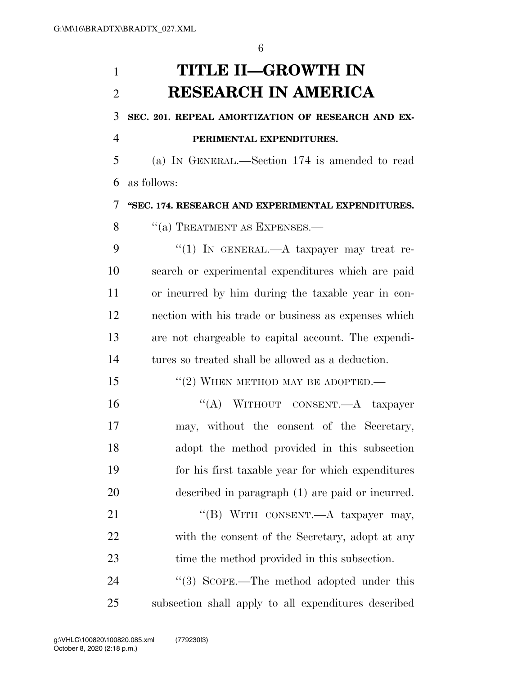# **TITLE II—GROWTH IN RESEARCH IN AMERICA**

### **SEC. 201. REPEAL AMORTIZATION OF RESEARCH AND EX-**

### **PERIMENTAL EXPENDITURES.**

 (a) IN GENERAL.—Section 174 is amended to read as follows:

#### **''SEC. 174. RESEARCH AND EXPERIMENTAL EXPENDITURES.**

8 "(a) TREATMENT AS EXPENSES.—

9 "(1) IN GENERAL.—A taxpayer may treat re- search or experimental expenditures which are paid or incurred by him during the taxable year in con- nection with his trade or business as expenses which are not chargeable to capital account. The expendi-tures so treated shall be allowed as a deduction.

### 15 "(2) WHEN METHOD MAY BE ADOPTED.—

16 "(A) WITHOUT CONSENT.—A taxpayer may, without the consent of the Secretary, adopt the method provided in this subsection for his first taxable year for which expenditures described in paragraph (1) are paid or incurred.

21 "(B) WITH CONSENT.—A taxpayer may, with the consent of the Secretary, adopt at any time the method provided in this subsection.

24 "(3) SCOPE.—The method adopted under this subsection shall apply to all expenditures described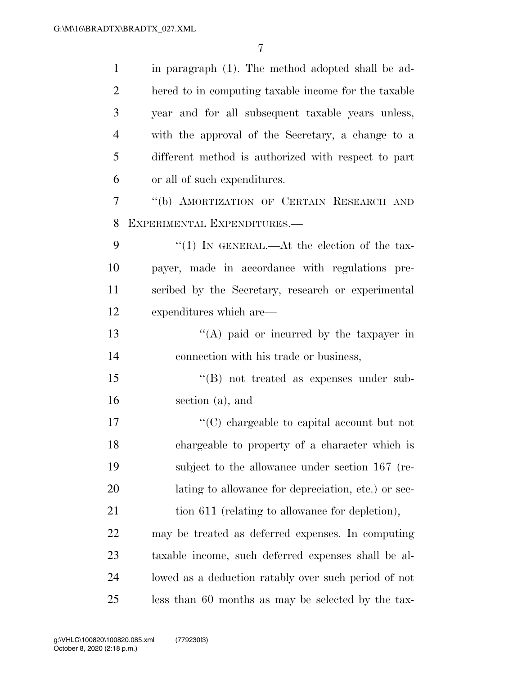| $\mathbf{1}$   | in paragraph (1). The method adopted shall be ad-    |
|----------------|------------------------------------------------------|
| $\overline{2}$ | hered to in computing taxable income for the taxable |
| 3              | year and for all subsequent taxable years unless,    |
| $\overline{4}$ | with the approval of the Secretary, a change to a    |
| 5              | different method is authorized with respect to part  |
| 6              | or all of such expenditures.                         |
| 7              | "(b) AMORTIZATION OF CERTAIN RESEARCH AND            |
| 8              | EXPERIMENTAL EXPENDITURES.-                          |
| 9              | "(1) IN GENERAL.—At the election of the tax-         |
| 10             | payer, made in accordance with regulations pre-      |
| 11             | scribed by the Secretary, research or experimental   |
| 12             | expenditures which are—                              |
| 13             | "(A) paid or incurred by the taxpayer in             |
| 14             | connection with his trade or business,               |
| 15             | $\lq\lq (B)$ not treated as expenses under sub-      |
| 16             | section (a), and                                     |
| 17             | "(C) chargeable to capital account but not           |
| 18             | chargeable to property of a character which is       |
| 19             | subject to the allowance under section 167 (re-      |
| 20             | lating to allowance for depreciation, etc.) or sec-  |
| 21             | tion 611 (relating to allowance for depletion),      |
| 22             | may be treated as deferred expenses. In computing    |
| 23             | taxable income, such deferred expenses shall be al-  |
| 24             | lowed as a deduction ratably over such period of not |
| 25             | less than 60 months as may be selected by the tax-   |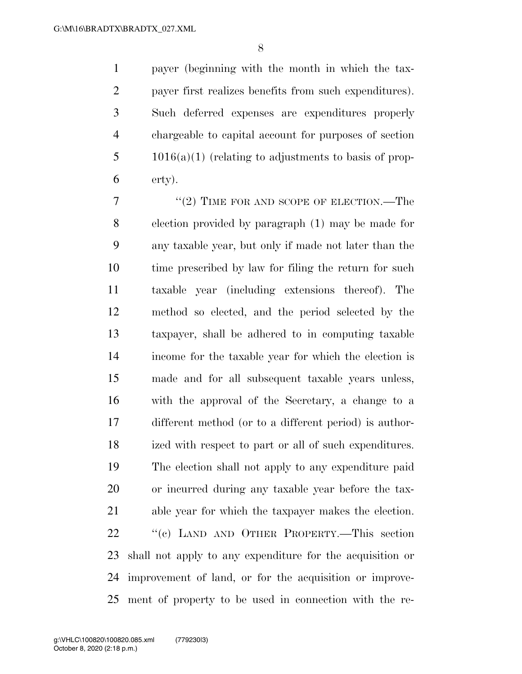payer (beginning with the month in which the tax- payer first realizes benefits from such expenditures). Such deferred expenses are expenditures properly chargeable to capital account for purposes of section 1016(a)(1) (relating to adjustments to basis of prop-erty).

7 "(2) TIME FOR AND SCOPE OF ELECTION.—The election provided by paragraph (1) may be made for any taxable year, but only if made not later than the 10 time prescribed by law for filing the return for such taxable year (including extensions thereof). The method so elected, and the period selected by the taxpayer, shall be adhered to in computing taxable income for the taxable year for which the election is made and for all subsequent taxable years unless, with the approval of the Secretary, a change to a different method (or to a different period) is author- ized with respect to part or all of such expenditures. The election shall not apply to any expenditure paid or incurred during any taxable year before the tax- able year for which the taxpayer makes the election. 22 "(c) LAND AND OTHER PROPERTY.—This section shall not apply to any expenditure for the acquisition or improvement of land, or for the acquisition or improve-ment of property to be used in connection with the re-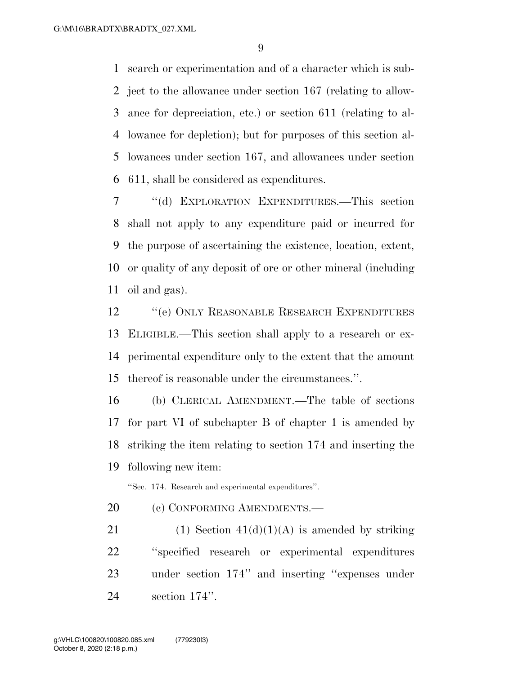search or experimentation and of a character which is sub- ject to the allowance under section 167 (relating to allow- ance for depreciation, etc.) or section 611 (relating to al- lowance for depletion); but for purposes of this section al- lowances under section 167, and allowances under section 611, shall be considered as expenditures.

 ''(d) EXPLORATION EXPENDITURES.—This section shall not apply to any expenditure paid or incurred for the purpose of ascertaining the existence, location, extent, or quality of any deposit of ore or other mineral (including oil and gas).

**''**(e) ONLY REASONABLE RESEARCH EXPENDITURES ELIGIBLE.—This section shall apply to a research or ex- perimental expenditure only to the extent that the amount thereof is reasonable under the circumstances.''.

 (b) CLERICAL AMENDMENT.—The table of sections for part VI of subchapter B of chapter 1 is amended by striking the item relating to section 174 and inserting the following new item:

''Sec. 174. Research and experimental expenditures''.

20 (c) CONFORMING AMENDMENTS.

21 (1) Section  $41(d)(1)(A)$  is amended by striking ''specified research or experimental expenditures under section 174'' and inserting ''expenses under section 174''.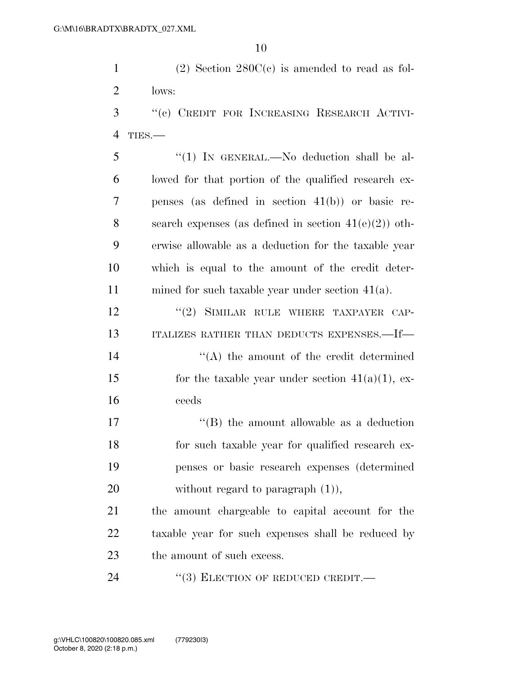1 (2) Section 280C(c) is amended to read as fol-2 lows:

- 3 ''(c) CREDIT FOR INCREASING RESEARCH ACTIVI-4 TIES.—
- 5 ''(1) IN GENERAL.—No deduction shall be al-6 lowed for that portion of the qualified research ex-7 penses (as defined in section 41(b)) or basic re-8 search expenses (as defined in section  $41(e)(2)$ ) oth-9 erwise allowable as a deduction for the taxable year 10 which is equal to the amount of the credit deter-11 mined for such taxable year under section 41(a).

12 "(2) SIMILAR RULE WHERE TAXPAYER CAP-13 ITALIZES RATHER THAN DEDUCTS EXPENSES.—If—

- 14 ''(A) the amount of the credit determined 15 for the taxable year under section  $41(a)(1)$ , ex-16 ceeds
- 17 ''(B) the amount allowable as a deduction 18 for such taxable year for qualified research ex-19 penses or basic research expenses (determined 20 without regard to paragraph  $(1)$ ),

21 the amount chargeable to capital account for the 22 taxable year for such expenses shall be reduced by 23 the amount of such excess.

24 "(3) ELECTION OF REDUCED CREDIT.—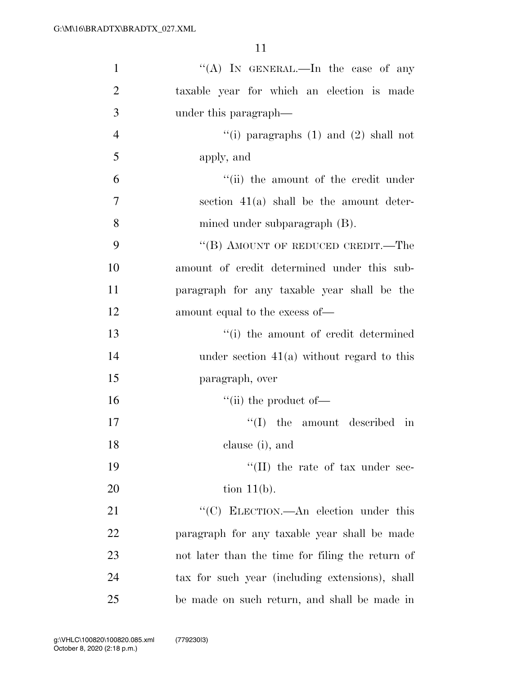| $\mathbf{1}$   | "(A) IN GENERAL.—In the case of any              |
|----------------|--------------------------------------------------|
| $\overline{2}$ | taxable year for which an election is made       |
| 3              | under this paragraph—                            |
| $\overline{4}$ | "(i) paragraphs $(1)$ and $(2)$ shall not        |
| 5              | apply, and                                       |
| 6              | "(ii) the amount of the credit under             |
| 7              | section $41(a)$ shall be the amount deter-       |
| 8              | mined under subparagraph (B).                    |
| 9              | "(B) AMOUNT OF REDUCED CREDIT.—The               |
| 10             | amount of credit determined under this sub-      |
| 11             | paragraph for any taxable year shall be the      |
| 12             | amount equal to the excess of—                   |
| 13             | "(i) the amount of credit determined             |
| 14             | under section $41(a)$ without regard to this     |
| 15             | paragraph, over                                  |
| 16             | $\lq\lq$ (ii) the product of —                   |
| 17             | ``(I)<br>the amount described in                 |
| 18             | clause (i), and                                  |
| 19             | $\lq\lq$ (II) the rate of tax under sec-         |
| 20             | tion $11(b)$ .                                   |
| 21             | "(C) ELECTION.—An election under this            |
| 22             | paragraph for any taxable year shall be made     |
| 23             | not later than the time for filing the return of |
| 24             | tax for such year (including extensions), shall  |
| 25             | be made on such return, and shall be made in     |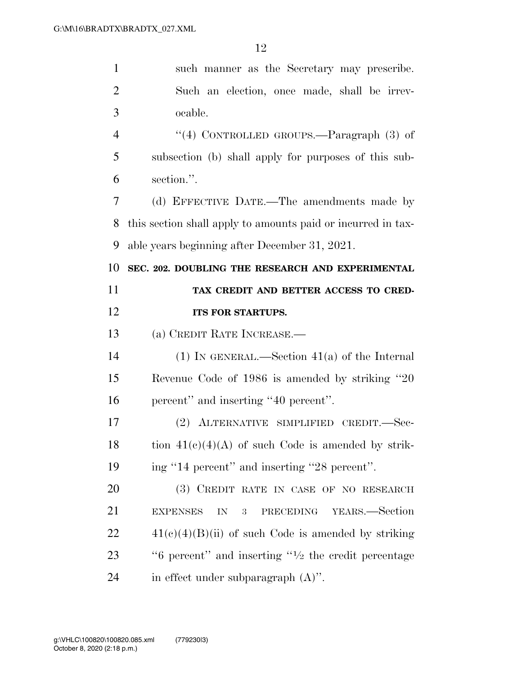| $\mathbf{1}$   | such manner as the Secretary may prescribe.                                |
|----------------|----------------------------------------------------------------------------|
| $\overline{2}$ | Such an election, once made, shall be irrev-                               |
| 3              | ocable.                                                                    |
| $\overline{4}$ | "(4) CONTROLLED GROUPS.—Paragraph $(3)$ of                                 |
| 5              | subsection (b) shall apply for purposes of this sub-                       |
| 6              | section.".                                                                 |
| 7              | (d) EFFECTIVE DATE.—The amendments made by                                 |
| 8              | this section shall apply to amounts paid or incurred in tax-               |
| 9              | able years beginning after December 31, 2021.                              |
| 10             | SEC. 202. DOUBLING THE RESEARCH AND EXPERIMENTAL                           |
| 11             | TAX CREDIT AND BETTER ACCESS TO CRED-                                      |
| 12             | ITS FOR STARTUPS.                                                          |
|                |                                                                            |
| 13             | (a) CREDIT RATE INCREASE.                                                  |
| 14             | (1) IN GENERAL.—Section $41(a)$ of the Internal                            |
| 15             | Revenue Code of 1986 is amended by striking "20"                           |
| 16             | percent" and inserting "40 percent".                                       |
| 17             | ALTERNATIVE SIMPLIFIED CREDIT.-Sec-<br>(2)                                 |
| 18             | tion $41(c)(4)(A)$ of such Code is amended by strik-                       |
| 19             | ing "14 percent" and inserting "28 percent".                               |
| 20             | (3) CREDIT RATE IN CASE OF NO RESEARCH                                     |
| 21             | YEARS.—Section<br><b>EXPENSES</b><br>PRECEDING<br>${\rm IN}$<br>$\sqrt{3}$ |
| 22             | $41(c)(4)(B)(ii)$ of such Code is amended by striking                      |
| 23             | " $6$ percent" and inserting " $\frac{1}{2}$ the credit percentage         |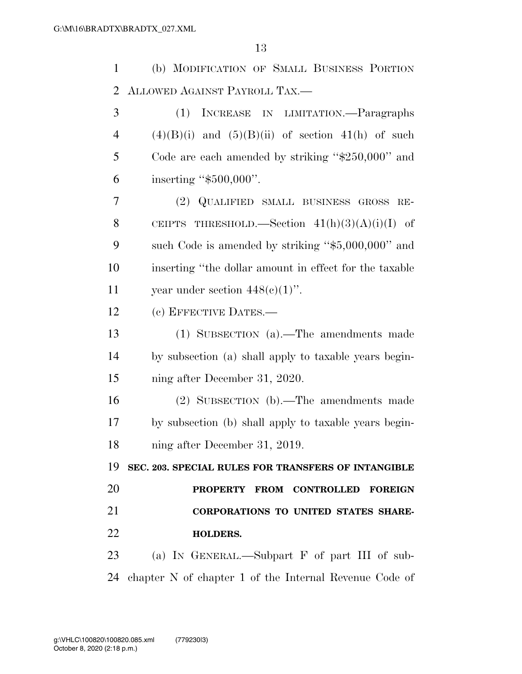(b) MODIFICATION OF SMALL BUSINESS PORTION ALLOWED AGAINST PAYROLL TAX.—

 (1) INCREASE IN LIMITATION.—Paragraphs  $(4)(B)(i)$  and  $(5)(B)(ii)$  of section 41(h) of such Code are each amended by striking ''\$250,000'' and inserting ''\$500,000''.

 (2) QUALIFIED SMALL BUSINESS GROSS RE-8 CEIPTS THRESHOLD.—Section  $41(h)(3)(A)(i)(I)$  of such Code is amended by striking ''\$5,000,000'' and inserting ''the dollar amount in effect for the taxable 11 vear under section  $448(e)(1)$ ".

(c) EFFECTIVE DATES.—

 (1) SUBSECTION (a).—The amendments made by subsection (a) shall apply to taxable years begin-ning after December 31, 2020.

 (2) SUBSECTION (b).—The amendments made by subsection (b) shall apply to taxable years begin-ning after December 31, 2019.

 **SEC. 203. SPECIAL RULES FOR TRANSFERS OF INTANGIBLE PROPERTY FROM CONTROLLED FOREIGN CORPORATIONS TO UNITED STATES SHARE-HOLDERS.** 

 (a) IN GENERAL.—Subpart F of part III of sub-chapter N of chapter 1 of the Internal Revenue Code of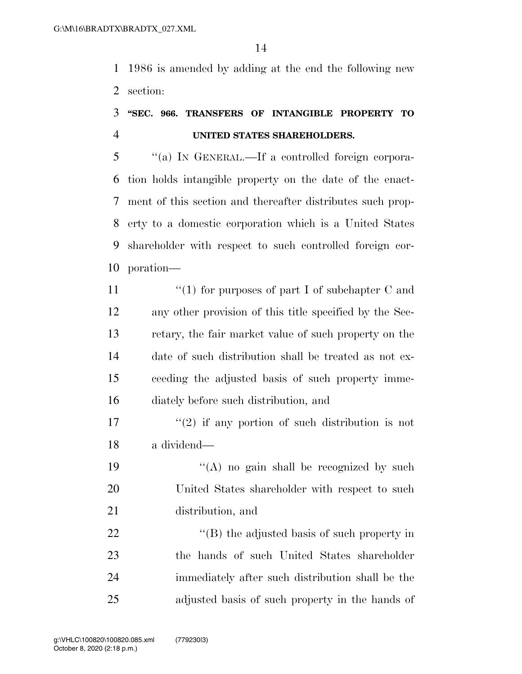1986 is amended by adding at the end the following new section:

## **''SEC. 966. TRANSFERS OF INTANGIBLE PROPERTY TO UNITED STATES SHAREHOLDERS.**

 ''(a) IN GENERAL.—If a controlled foreign corpora- tion holds intangible property on the date of the enact- ment of this section and thereafter distributes such prop- erty to a domestic corporation which is a United States shareholder with respect to such controlled foreign cor-poration—

- 11  $\frac{1}{2}$  (1) for purposes of part I of subchapter C and any other provision of this title specified by the Sec- retary, the fair market value of such property on the date of such distribution shall be treated as not ex- ceeding the adjusted basis of such property imme-diately before such distribution, and
- $\binom{17}{2}$  if any portion of such distribution is not a dividend—
- 19  $((A)$  no gain shall be recognized by such United States shareholder with respect to such distribution, and

 $\langle (B)$  the adjusted basis of such property in the hands of such United States shareholder immediately after such distribution shall be the adjusted basis of such property in the hands of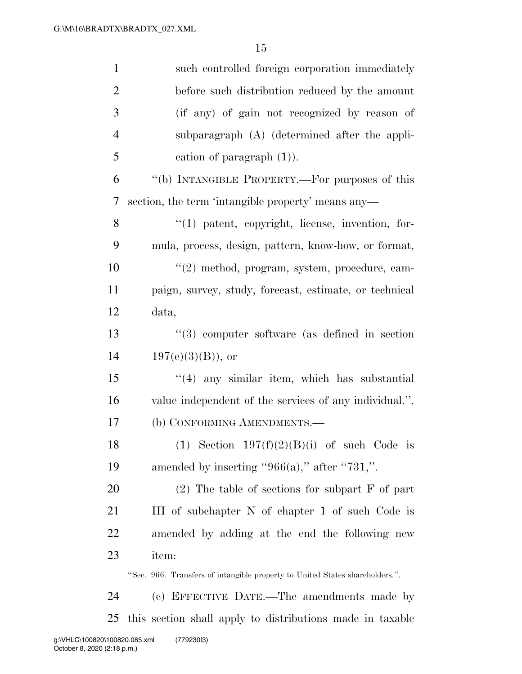| $\mathbf{1}$   | such controlled foreign corporation immediately                              |
|----------------|------------------------------------------------------------------------------|
| $\overline{2}$ | before such distribution reduced by the amount                               |
| 3              | (if any) of gain not recognized by reason of                                 |
| $\overline{4}$ | subparagraph (A) (determined after the appli-                                |
| 5              | cation of paragraph $(1)$ ).                                                 |
| 6              | "(b) INTANGIBLE PROPERTY.—For purposes of this                               |
| $\tau$         | section, the term 'intangible property' means any—                           |
| 8              | $\lq(1)$ patent, copyright, license, invention, for-                         |
| 9              | mula, process, design, pattern, know-how, or format,                         |
| 10             | $\lq(2)$ method, program, system, procedure, cam-                            |
| 11             | paign, survey, study, forecast, estimate, or technical                       |
| 12             | data,                                                                        |
| 13             | $\lq(3)$ computer software (as defined in section)                           |
| 14             | $197(e)(3)(B)$ , or                                                          |
| 15             | $\lq(4)$ any similar item, which has substantial                             |
| 16             | value independent of the services of any individual.".                       |
| 17             | (b) CONFORMING AMENDMENTS.-                                                  |
| 18             | (1) Section $197(f)(2)(B)(i)$ of such Code is                                |
| 19             | amended by inserting " $966(a)$ ," after "731,".                             |
| <b>20</b>      | $(2)$ The table of sections for subpart F of part                            |
| 21             | III of subchapter N of chapter 1 of such Code is                             |
| 22             | amended by adding at the end the following new                               |
| 23             | item:                                                                        |
|                | "Sec. 966. Transfers of intangible property to United States shareholders.". |
| 24             | (c) EFFECTIVE DATE.—The amendments made by                                   |
| 25             | this section shall apply to distributions made in taxable                    |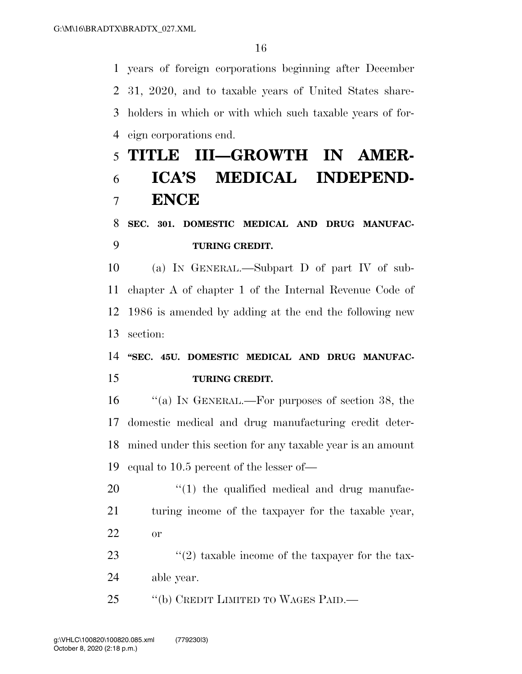years of foreign corporations beginning after December 31, 2020, and to taxable years of United States share- holders in which or with which such taxable years of for-eign corporations end.

# **TITLE III—GROWTH IN AMER- ICA'S MEDICAL INDEPEND-ENCE**

## **SEC. 301. DOMESTIC MEDICAL AND DRUG MANUFAC-TURING CREDIT.**

 (a) IN GENERAL.—Subpart D of part IV of sub- chapter A of chapter 1 of the Internal Revenue Code of 1986 is amended by adding at the end the following new section:

 **''SEC. 45U. DOMESTIC MEDICAL AND DRUG MANUFAC-TURING CREDIT.** 

 ''(a) IN GENERAL.—For purposes of section 38, the domestic medical and drug manufacturing credit deter- mined under this section for any taxable year is an amount equal to 10.5 percent of the lesser of—

  $\qquad$   $\qquad$   $\qquad$   $\qquad$   $\qquad$   $\qquad$   $\qquad$   $\qquad$   $\qquad$   $\qquad$   $\qquad$   $\qquad$   $\qquad$   $\qquad$   $\qquad$   $\qquad$   $\qquad$   $\qquad$   $\qquad$   $\qquad$   $\qquad$   $\qquad$   $\qquad$   $\qquad$   $\qquad$   $\qquad$   $\qquad$   $\qquad$   $\qquad$   $\qquad$   $\qquad$   $\qquad$   $\qquad$   $\qquad$   $\qquad$   $\qquad$  turing income of the taxpayer for the taxable year, or

23  $\frac{1}{2}$   $\frac{1}{2}$  taxable income of the tax-able year.

25 "(b) CREDIT LIMITED TO WAGES PAID.—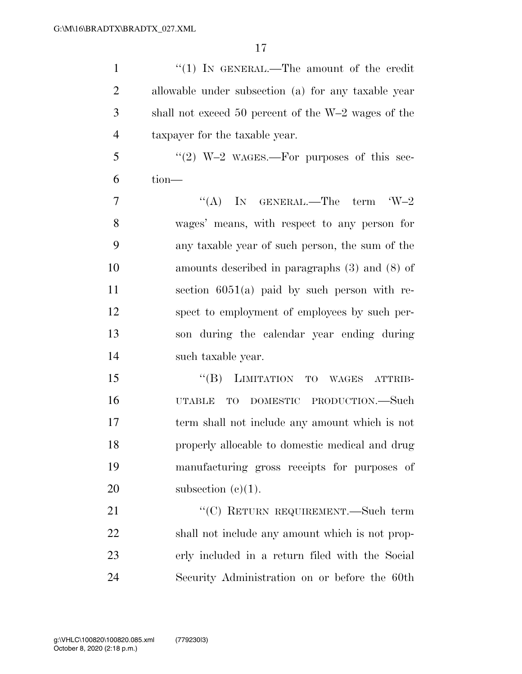1 "(1) IN GENERAL.—The amount of the credit allowable under subsection (a) for any taxable year shall not exceed 50 percent of the W–2 wages of the taxpayer for the taxable year. "(2) W–2 WAGES.—For purposes of this sec- tion—  $7 \t\t\t\t\t\t''(A)$  In GENERAL.—The term  $W-2$  wages' means, with respect to any person for any taxable year of such person, the sum of the amounts described in paragraphs (3) and (8) of section 6051(a) paid by such person with re- spect to employment of employees by such per- son during the calendar year ending during such taxable year. 15 "(B) LIMITATION TO WAGES ATTRIB- UTABLE TO DOMESTIC PRODUCTION.—Such term shall not include any amount which is not properly allocable to domestic medical and drug manufacturing gross receipts for purposes of

20 subsection  $(e)(1)$ .

21 "'(C) RETURN REQUIREMENT.—Such term shall not include any amount which is not prop- erly included in a return filed with the Social Security Administration on or before the 60th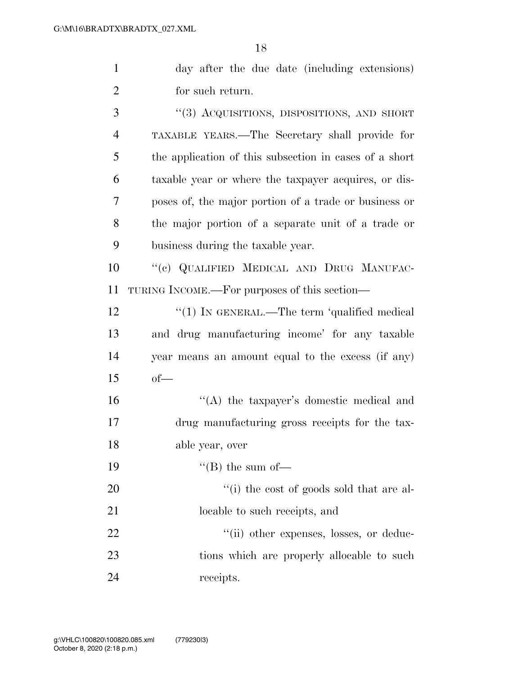| $\mathbf{1}$   | day after the due date (including extensions)          |
|----------------|--------------------------------------------------------|
| $\overline{2}$ | for such return.                                       |
| 3              | "(3) ACQUISITIONS, DISPOSITIONS, AND SHORT             |
| $\overline{4}$ | TAXABLE YEARS.—The Secretary shall provide for         |
| 5              | the application of this subsection in cases of a short |
| 6              | taxable year or where the taxpayer acquires, or dis-   |
| 7              | poses of, the major portion of a trade or business or  |
| 8              | the major portion of a separate unit of a trade or     |
| 9              | business during the taxable year.                      |
| 10             | "(c) QUALIFIED MEDICAL AND DRUG MANUFAC-               |
| 11             | TURING INCOME.—For purposes of this section—           |
| 12             | "(1) IN GENERAL.—The term 'qualified medical           |
| 13             | and drug manufacturing income' for any taxable         |
| 14             | year means an amount equal to the excess (if any)      |
| 15             | $of$ —                                                 |
| 16             | "(A) the taxpayer's domestic medical and               |
| 17             | drug manufacturing gross receipts for the tax-         |
| 18             | able year, over                                        |
| 19             | $\lq\lq (B)$ the sum of-                               |
| 20             | "(i) the cost of goods sold that are al-               |
| 21             | locable to such receipts, and                          |
| 22             | "(ii) other expenses, losses, or deduc-                |
| 23             | tions which are properly allocable to such             |
| 24             | receipts.                                              |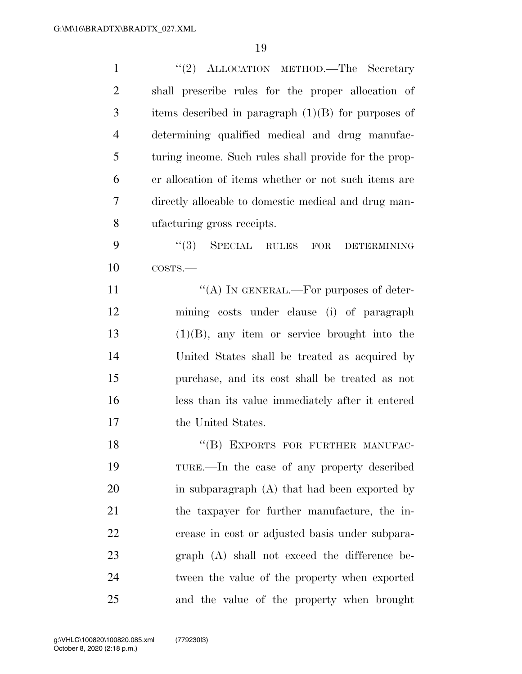| $\mathbf{1}$   | "(2) ALLOCATION METHOD.—The Secretary                 |
|----------------|-------------------------------------------------------|
| $\overline{2}$ | shall prescribe rules for the proper allocation of    |
| 3              | items described in paragraph $(1)(B)$ for purposes of |
| $\overline{4}$ | determining qualified medical and drug manufac-       |
| 5              | turing income. Such rules shall provide for the prop- |
| 6              | er allocation of items whether or not such items are  |
| 7              | directly allocable to domestic medical and drug man-  |
| 8              | ufacturing gross receipts.                            |
| 9              | $(3)$ SPECIAL RULES FOR<br><b>DETERMINING</b>         |
| 10             | COSTS.                                                |
| 11             | "(A) IN GENERAL.—For purposes of deter-               |
| 12             | mining costs under clause (i) of paragraph            |
| 13             | $(1)(B)$ , any item or service brought into the       |
| 14             | United States shall be treated as acquired by         |
| 15             | purchase, and its cost shall be treated as not        |
| 16             | less than its value immediately after it entered      |
| 17             | the United States.                                    |
| 18             | "(B) EXPORTS FOR FURTHER MANUFAC-                     |
| 19             | TURE.—In the case of any property described           |
| 20             | in subparagraph $(A)$ that had been exported by       |
| 21             | the taxpayer for further manufacture, the in-         |
| 22             | crease in cost or adjusted basis under subpara-       |
| 23             | $graph(A)$ shall not exceed the difference be-        |
| 24             | tween the value of the property when exported         |
| 25             | and the value of the property when brought            |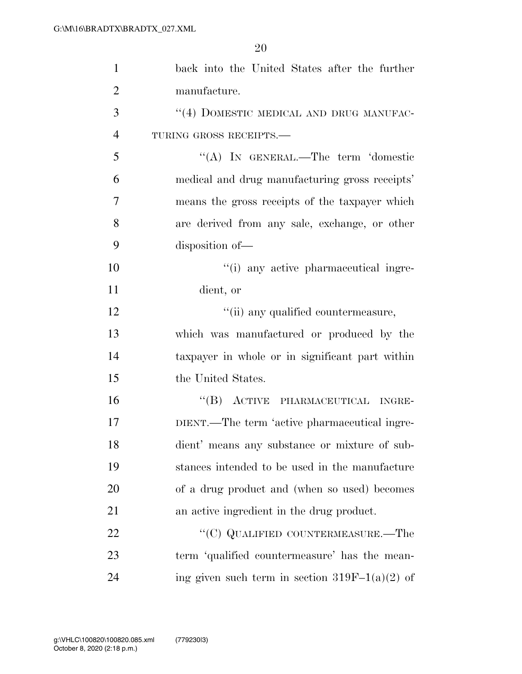| $\mathbf{1}$   | back into the United States after the further    |
|----------------|--------------------------------------------------|
| $\overline{2}$ | manufacture.                                     |
| 3              | $``(4)$ DOMESTIC MEDICAL AND DRUG MANUFAC-       |
| 4              | TURING GROSS RECEIPTS.                           |
| 5              | "(A) IN GENERAL.—The term 'domestic              |
| 6              | medical and drug manufacturing gross receipts'   |
| $\overline{7}$ | means the gross receipts of the taxpayer which   |
| 8              | are derived from any sale, exchange, or other    |
| 9              | disposition of-                                  |
| 10             | "(i) any active pharmaceutical ingre-            |
| 11             | dient, or                                        |
| 12             | "(ii) any qualified countermeasure,              |
| 13             | which was manufactured or produced by the        |
| 14             | taxpayer in whole or in significant part within  |
| 15             | the United States.                               |
| 16             | "(B) ACTIVE PHARMACEUTICAL INGRE-                |
| 17             | DIENT.—The term 'active pharmaceutical ingre-    |
| 18             | dient' means any substance or mixture of sub-    |
| 19             | stances intended to be used in the manufacture   |
| <b>20</b>      | of a drug product and (when so used) becomes     |
| 21             | an active ingredient in the drug product.        |
| 22             | "(C) QUALIFIED COUNTERMEASURE.—The               |
| 23             | term 'qualified countermeasure' has the mean-    |
| 24             | ing given such term in section $319F-1(a)(2)$ of |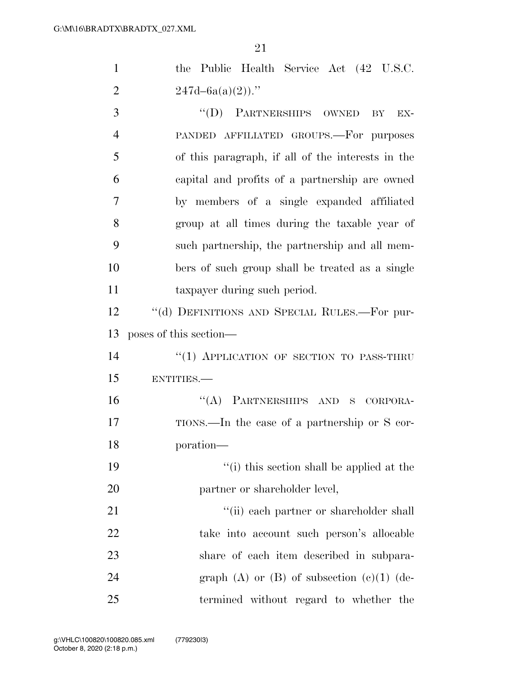| $\mathbf{1}$   | the Public Health Service Act (42 U.S.C.          |
|----------------|---------------------------------------------------|
| $\overline{2}$ | $247d - 6a(a)(2)$ ."                              |
| 3              | "(D) PARTNERSHIPS OWNED<br>BY<br>EX-              |
| $\overline{4}$ | PANDED AFFILIATED GROUPS.—For purposes            |
| 5              | of this paragraph, if all of the interests in the |
| 6              | capital and profits of a partnership are owned    |
| 7              | by members of a single expanded affiliated        |
| 8              | group at all times during the taxable year of     |
| 9              | such partnership, the partnership and all mem-    |
| 10             | bers of such group shall be treated as a single   |
| 11             | taxpayer during such period.                      |
| 12             | "(d) DEFINITIONS AND SPECIAL RULES.—For pur-      |
| 13             | poses of this section—                            |
| 14             | "(1) APPLICATION OF SECTION TO PASS-THRU          |
| 15             | ENTITIES.                                         |
| 16             | "(A) PARTNERSHIPS AND S CORPORA-                  |
| 17             | TIONS.—In the case of a partnership or S cor-     |
| 18             | poration-                                         |
| 19             | "(i) this section shall be applied at the         |
| 20             | partner or shareholder level,                     |
| 21             | "(ii) each partner or shareholder shall           |
| 22             | take into account such person's allocable         |
| 23             | share of each item described in subpara-          |
| 24             | graph $(A)$ or $(B)$ of subsection $(c)(1)$ (de-  |
| 25             | termined without regard to whether the            |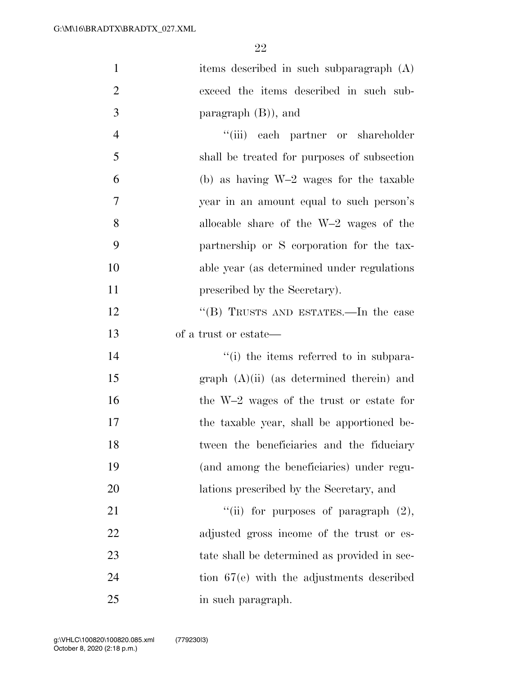| $\mathbf{1}$   | items described in such subparagraph (A)     |
|----------------|----------------------------------------------|
| $\overline{2}$ | exceed the items described in such sub-      |
| 3              | paragraph $(B)$ ), and                       |
| $\overline{4}$ | "(iii) each partner or shareholder           |
| 5              | shall be treated for purposes of subsection  |
| 6              | (b) as having $W-2$ wages for the taxable    |
| $\tau$         | year in an amount equal to such person's     |
| 8              | allocable share of the $W-2$ wages of the    |
| 9              | partnership or S corporation for the tax-    |
| 10             | able year (as determined under regulations)  |
| 11             | prescribed by the Secretary).                |
| 12             | "(B) TRUSTS AND ESTATES.—In the case         |
| 13             | of a trust or estate—                        |
| 14             | "(i) the items referred to in subpara-       |
| 15             | $graph (A)(ii)$ (as determined therein) and  |
| 16             | the W-2 wages of the trust or estate for     |
| 17             | the taxable year, shall be apportioned be-   |
| 18             | tween the beneficiaries and the fiduciary    |
| 19             | (and among the beneficiaries) under regu-    |
| 20             | lations prescribed by the Secretary, and     |
| 21             | "(ii) for purposes of paragraph $(2)$ ,      |
| 22             | adjusted gross income of the trust or es-    |
| 23             | tate shall be determined as provided in sec- |
| 24             | tion $67(e)$ with the adjustments described  |
| 25             | in such paragraph.                           |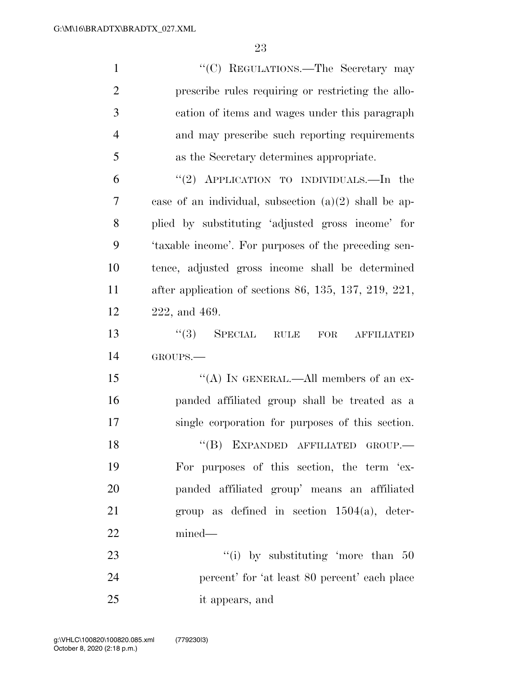| $\mathbf{1}$   | "(C) REGULATIONS.—The Secretary may                                |
|----------------|--------------------------------------------------------------------|
| $\overline{2}$ | prescribe rules requiring or restricting the allo-                 |
| 3              | cation of items and wages under this paragraph                     |
| $\overline{4}$ | and may prescribe such reporting requirements                      |
| 5              | as the Secretary determines appropriate.                           |
| 6              | "(2) APPLICATION TO INDIVIDUALS.—In the                            |
| 7              | case of an individual, subsection $(a)(2)$ shall be ap-            |
| 8              | plied by substituting 'adjusted gross income' for                  |
| 9              | 'taxable income'. For purposes of the preceding sen-               |
| 10             | tence, adjusted gross income shall be determined                   |
| 11             | after application of sections $86, 135, 137, 219, 221,$            |
| 12             | 222, and 469.                                                      |
| 13             | $(3)$ SPECIAL<br>$\operatorname{RULE}$<br>FOR<br><b>AFFILIATED</b> |
| 14             | GROUPS.                                                            |
| 15             | "(A) IN GENERAL.—All members of an ex-                             |
| 16             | panded affiliated group shall be treated as a                      |
| 17             | single corporation for purposes of this section.                   |
| 18             | $``(B)$ EXPANDED AFFILIATED GROUP.—                                |
| 19             | For purposes of this section, the term 'ex-                        |
| 20             | panded affiliated group' means an affiliated                       |
| 21             | group as defined in section $1504(a)$ , deter-                     |
| 22             | mined—                                                             |
| 23             | "(i) by substituting 'more than $50$                               |
| 24             | percent' for 'at least 80 percent' each place                      |
| 25             | it appears, and                                                    |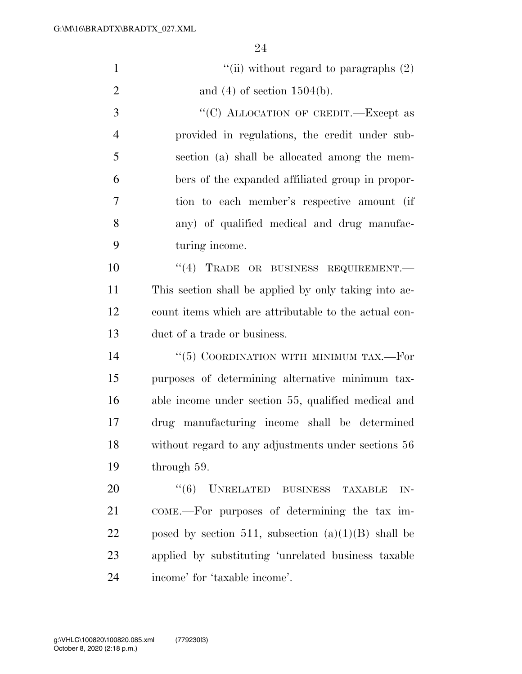| $\mathbf{1}$   | "(ii) without regard to paragraphs $(2)$              |
|----------------|-------------------------------------------------------|
| $\overline{2}$ | and $(4)$ of section 1504(b).                         |
| 3              | "(C) ALLOCATION OF CREDIT.—Except as                  |
| $\overline{4}$ | provided in regulations, the credit under sub-        |
| 5              | section (a) shall be allocated among the mem-         |
| 6              | bers of the expanded affiliated group in propor-      |
| 7              | tion to each member's respective amount (if           |
| 8              | any) of qualified medical and drug manufac-           |
| 9              | turing income.                                        |
| 10             | "(4) TRADE OR BUSINESS REQUIREMENT.                   |
| 11             | This section shall be applied by only taking into ac- |
| 12             | count items which are attributable to the actual con- |
| 13             | duct of a trade or business.                          |
| 14             | " $(5)$ COORDINATION WITH MINIMUM TAX.—For            |
| 15             | purposes of determining alternative minimum tax-      |
| 16             | able income under section 55, qualified medical and   |
| 17             | drug manufacturing income shall be determined         |
| 18             | without regard to any adjustments under sections 56   |
| 19             | through 59.                                           |
| 20             | $``(6)$ UNRELATED BUSINESS<br><b>TAXABLE</b><br>$IN-$ |
| 21             | COME.—For purposes of determining the tax im-         |
| 22             | posed by section 511, subsection $(a)(1)(B)$ shall be |
| 23             | applied by substituting 'unrelated business taxable   |
| 24             | income' for 'taxable income'.                         |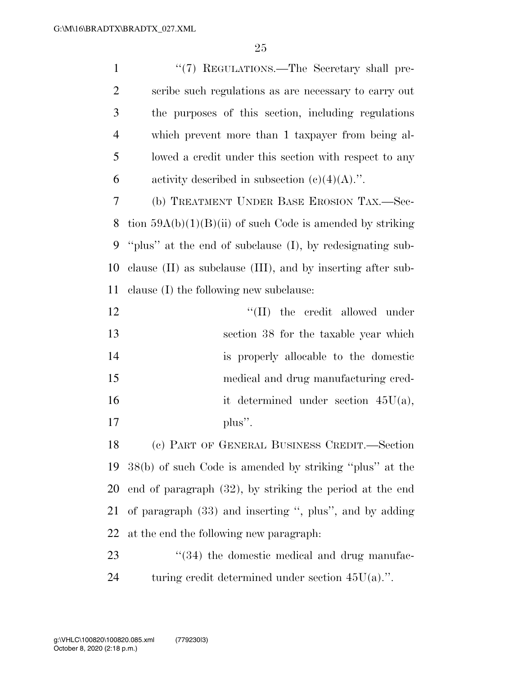| $\mathbf{1}$   | "(7) REGULATIONS.—The Secretary shall pre-                       |
|----------------|------------------------------------------------------------------|
| $\overline{2}$ | scribe such regulations as are necessary to carry out            |
| 3              | the purposes of this section, including regulations              |
| $\overline{4}$ | which prevent more than 1 taxpayer from being al-                |
| 5              | lowed a credit under this section with respect to any            |
| 6              | activity described in subsection $(c)(4)(A)$ .".                 |
| 7              | (b) TREATMENT UNDER BASE EROSION TAX.—Sec-                       |
| 8              | tion $59A(b)(1)(B)(ii)$ of such Code is amended by striking      |
| 9              | "plus" at the end of subclause (I), by redesignating sub-        |
| 10             | clause $(II)$ as subclause $(III)$ , and by inserting after sub- |
| 11             | clause (I) the following new subclause:                          |
| 12             | $\lq\lq$ (II) the credit allowed under                           |
| 13             | section 38 for the taxable year which                            |
| 14             | is properly allocable to the domestic                            |
| 15             | medical and drug manufacturing cred-                             |
| 16             | it determined under section $45U(a)$ ,                           |
| 17             | plus".                                                           |
| 18             | (c) PART OF GENERAL BUSINESS CREDIT.—Section                     |
| 19             | 38(b) of such Code is amended by striking "plus" at the          |
| 20             | end of paragraph $(32)$ , by striking the period at the end      |
| 21             | of paragraph $(33)$ and inserting ", plus", and by adding        |
| 22             | at the end the following new paragraph.                          |
| 23             | "(34) the domestic medical and drug manufac-                     |
|                |                                                                  |

turing credit determined under section 45U(a).''.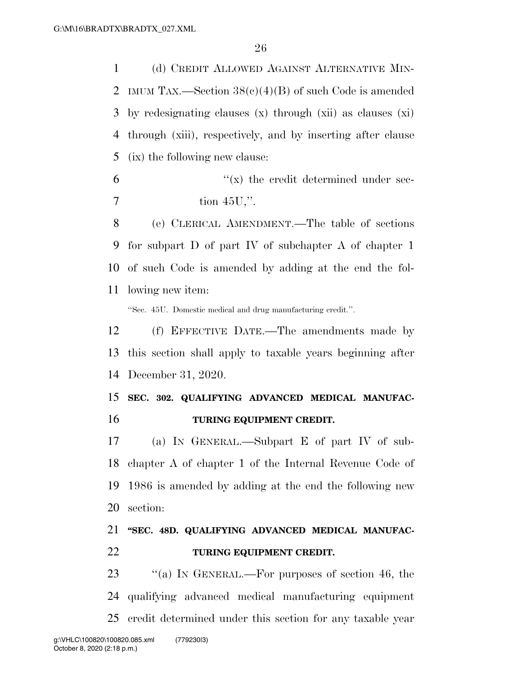(d) CREDIT ALLOWED AGAINST ALTERNATIVE MIN- IMUM TAX.—Section 38(c)(4)(B) of such Code is amended by redesignating clauses (x) through (xii) as clauses (xi) through (xiii), respectively, and by inserting after clause (ix) the following new clause:

 $\mathfrak{g}$   $\mathfrak{g}$  the credit determined under sec-tion 45U,''.

 (e) CLERICAL AMENDMENT.—The table of sections for subpart D of part IV of subchapter A of chapter 1 of such Code is amended by adding at the end the fol-lowing new item:

''Sec. 45U. Domestic medical and drug manufacturing credit.''.

 (f) EFFECTIVE DATE.—The amendments made by this section shall apply to taxable years beginning after December 31, 2020.

## **SEC. 302. QUALIFYING ADVANCED MEDICAL MANUFAC-TURING EQUIPMENT CREDIT.**

 (a) IN GENERAL.—Subpart E of part IV of sub- chapter A of chapter 1 of the Internal Revenue Code of 1986 is amended by adding at the end the following new section:

## **''SEC. 48D. QUALIFYING ADVANCED MEDICAL MANUFAC-TURING EQUIPMENT CREDIT.**

23 "(a) In GENERAL.—For purposes of section 46, the qualifying advanced medical manufacturing equipment credit determined under this section for any taxable year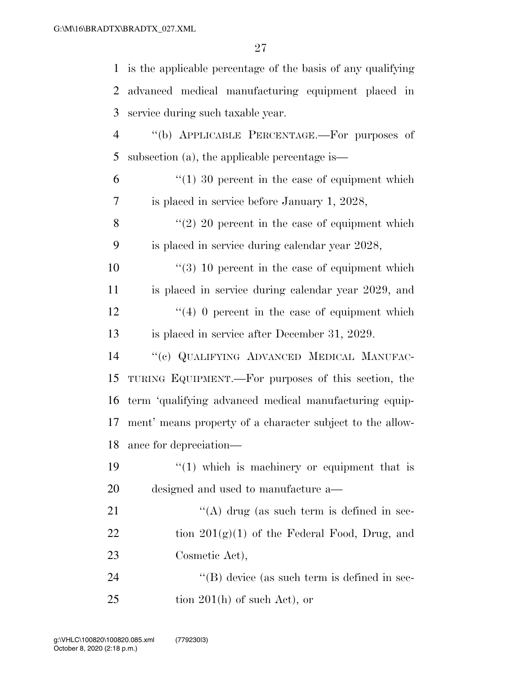| $\mathbf{1}$   | is the applicable percentage of the basis of any qualifying |
|----------------|-------------------------------------------------------------|
| $\overline{2}$ | advanced medical manufacturing equipment placed in          |
| 3              | service during such taxable year.                           |
| $\overline{4}$ | "(b) APPLICABLE PERCENTAGE.—For purposes of                 |
| 5              | subsection (a), the applicable percentage is—               |
| 6              | $\lq(1)$ 30 percent in the case of equipment which          |
| $\tau$         | is placed in service before January 1, 2028,                |
| 8              | $\lq(2)$ 20 percent in the case of equipment which          |
| 9              | is placed in service during calendar year 2028,             |
| 10             | $(3)$ 10 percent in the case of equipment which             |
| 11             | is placed in service during calendar year 2029, and         |
| 12             | $(4)$ 0 percent in the case of equipment which              |
| 13             | is placed in service after December 31, 2029.               |
| 14             | "(c) QUALIFYING ADVANCED MEDICAL MANUFAC-                   |
| 15             | TURING EQUIPMENT.—For purposes of this section, the         |
| 16             | term 'qualifying advanced medical manufacturing equip-      |
| 17             | ment' means property of a character subject to the allow-   |
| 18             | ance for depreciation-                                      |
| 19             | $\lq(1)$ which is machinery or equipment that is            |
| 20             | designed and used to manufacture a—                         |
| 21             | "(A) drug (as such term is defined in sec-                  |
| 22             | tion $201(g)(1)$ of the Federal Food, Drug, and             |
| 23             | Cosmetic Act),                                              |
| 24             | $\lq\lq$ device (as such term is defined in sec-            |
| 25             | tion $201(h)$ of such Act), or                              |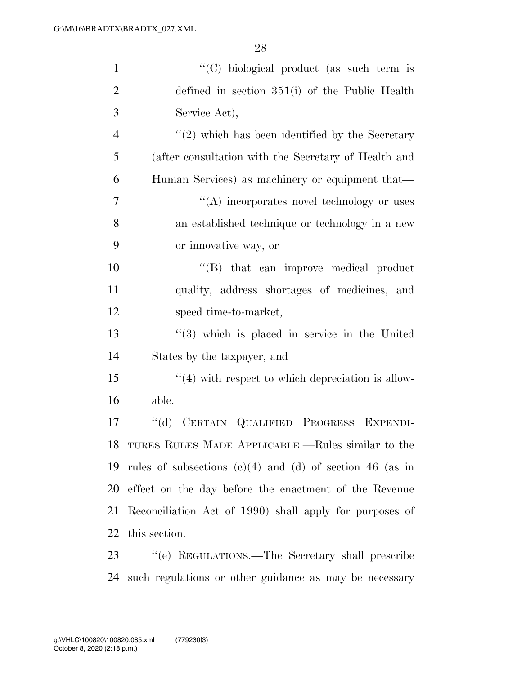| $\mathbf{1}$   | "(C) biological product (as such term is                      |
|----------------|---------------------------------------------------------------|
| $\overline{2}$ | defined in section $351(i)$ of the Public Health              |
| 3              | Service Act),                                                 |
| $\overline{4}$ | $\lq(2)$ which has been identified by the Secretary           |
| 5              | (after consultation with the Secretary of Health and          |
| 6              | Human Services) as machinery or equipment that—               |
| $\overline{7}$ | $\lq\lq$ incorporates novel technology or uses                |
| 8              | an established technique or technology in a new               |
| 9              | or innovative way, or                                         |
| 10             | $\lq\lq$ that can improve medical product                     |
| 11             | quality, address shortages of medicines, and                  |
| 12             | speed time-to-market,                                         |
| 13             | $(3)$ which is placed in service in the United                |
| 14             | States by the taxpayer, and                                   |
| 15             | $\lq(4)$ with respect to which depreciation is allow-         |
| 16             | able.                                                         |
| 17             | CERTAIN QUALIFIED PROGRESS<br>$\lq\lq (d)$<br><b>EXPENDI-</b> |
| 18             | TURES RULES MADE APPLICABLE.—Rules similar to the             |
| 19             | rules of subsections $(c)(4)$ and $(d)$ of section 46 (as in  |
| 20             | effect on the day before the enactment of the Revenue         |
| 21             | Reconciliation Act of 1990) shall apply for purposes of       |
| 22             | this section.                                                 |
| 23             | "(e) REGULATIONS.—The Secretary shall prescribe               |
| 24             | such regulations or other guidance as may be necessary        |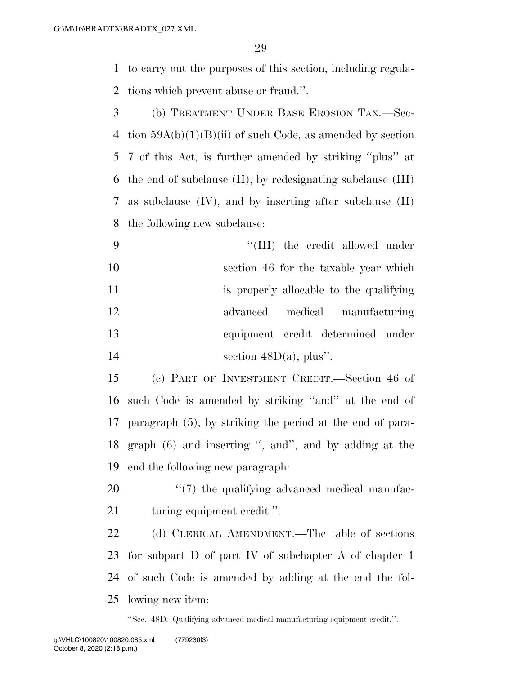to carry out the purposes of this section, including regula-tions which prevent abuse or fraud.''.

 (b) TREATMENT UNDER BASE EROSION TAX.—Sec-4 tion  $59A(b)(1)(B)(ii)$  of such Code, as amended by section 7 of this Act, is further amended by striking ''plus'' at the end of subclause (II), by redesignating subclause (III) as subclause (IV), and by inserting after subclause (II) the following new subclause:

 $\frac{4}{11}$  the credit allowed under section 46 for the taxable year which is properly allocable to the qualifying advanced medical manufacturing equipment credit determined under 14 section  $48D(a)$ , plus".

 (c) PART OF INVESTMENT CREDIT.—Section 46 of such Code is amended by striking ''and'' at the end of paragraph (5), by striking the period at the end of para- graph (6) and inserting '', and'', and by adding at the end the following new paragraph:

20  $\frac{1}{20}$  the qualifying advanced medical manufac-turing equipment credit.''.

 (d) CLERICAL AMENDMENT.—The table of sections for subpart D of part IV of subchapter A of chapter 1 of such Code is amended by adding at the end the fol-lowing new item:

''Sec. 48D. Qualifying advanced medical manufacturing equipment credit.''.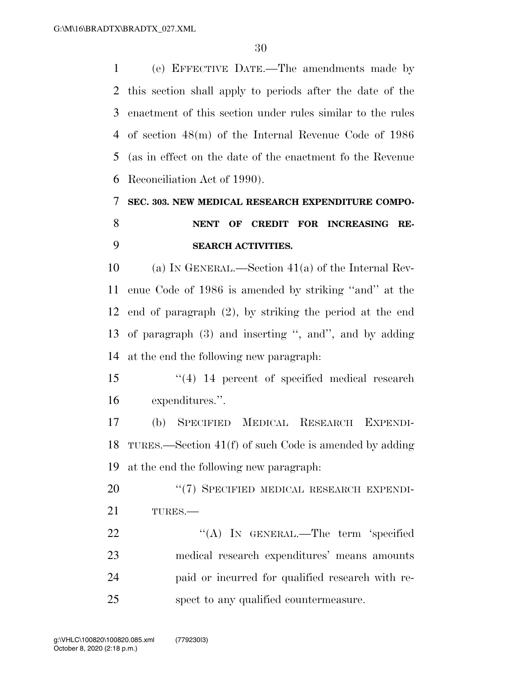(e) EFFECTIVE DATE.—The amendments made by this section shall apply to periods after the date of the enactment of this section under rules similar to the rules of section 48(m) of the Internal Revenue Code of 1986 (as in effect on the date of the enactment fo the Revenue Reconciliation Act of 1990).

# **SEC. 303. NEW MEDICAL RESEARCH EXPENDITURE COMPO-NENT OF CREDIT FOR INCREASING RE-**

### **SEARCH ACTIVITIES.**

 (a) IN GENERAL.—Section 41(a) of the Internal Rev- enue Code of 1986 is amended by striking ''and'' at the end of paragraph (2), by striking the period at the end of paragraph (3) and inserting '', and'', and by adding at the end the following new paragraph:

 ''(4) 14 percent of specified medical research expenditures.''.

 (b) SPECIFIED MEDICAL RESEARCH EXPENDI- TURES.—Section 41(f) of such Code is amended by adding at the end the following new paragraph:

20 "(7) SPECIFIED MEDICAL RESEARCH EXPENDI-TURES.—

22 "(A) In GENERAL.—The term 'specified medical research expenditures' means amounts paid or incurred for qualified research with re-spect to any qualified countermeasure.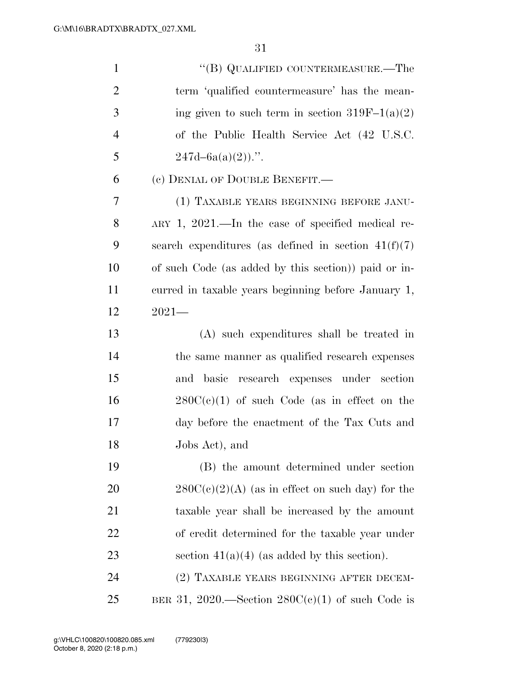| $\mathbf{1}$   | "(B) QUALIFIED COUNTERMEASURE.—The                      |
|----------------|---------------------------------------------------------|
| $\overline{2}$ | term 'qualified countermeasure' has the mean-           |
| 3              | ing given to such term in section $319F-1(a)(2)$        |
| $\overline{4}$ | of the Public Health Service Act (42 U.S.C.             |
| 5              | $247d - 6a(a)(2)$ .".                                   |
| 6              | (c) DENIAL OF DOUBLE BENEFIT.—                          |
| 7              | (1) TAXABLE YEARS BEGINNING BEFORE JANU-                |
| 8              | $ARY$ 1, 2021.—In the case of specified medical re-     |
| 9              | search expenditures (as defined in section $41(f)(7)$ ) |
| 10             | of such Code (as added by this section)) paid or in-    |
| 11             | curred in taxable years beginning before January 1,     |
| 12             | $2021-$                                                 |
| 13             | (A) such expenditures shall be treated in               |
| 14             | the same manner as qualified research expenses          |
| 15             | basic<br>research expenses under section<br>and         |
| 16             | $280C(c)(1)$ of such Code (as in effect on the          |
| 17             | day before the enactment of the Tax Cuts and            |
| 18             | Jobs Act), and                                          |
| 19             | (B) the amount determined under section                 |
| <b>20</b>      | $280C(c)(2)(A)$ (as in effect on such day) for the      |
| 21             | taxable year shall be increased by the amount           |
| 22             | of credit determined for the taxable year under         |
| 23             | section $41(a)(4)$ (as added by this section).          |
| 24             | (2) TAXABLE YEARS BEGINNING AFTER DECEM-                |
| 25             | BER 31, 2020.—Section $280C(c)(1)$ of such Code is      |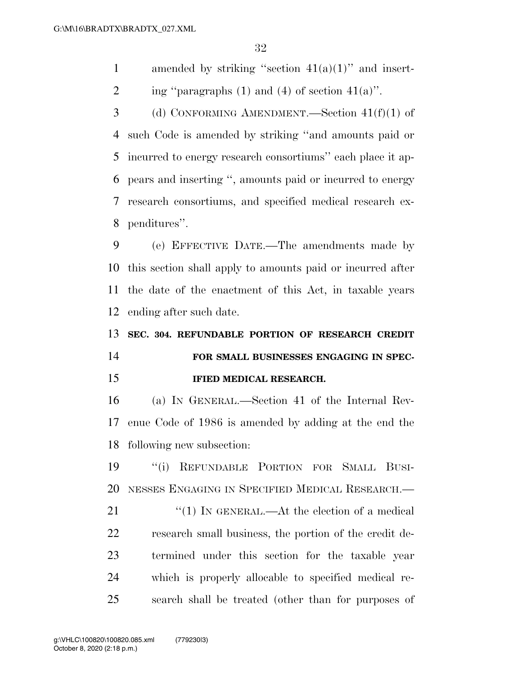1 amended by striking "section  $41(a)(1)$ " and insert-

2 ing "paragraphs (1) and (4) of section  $41(a)$ ".

 (d) CONFORMING AMENDMENT.—Section 41(f)(1) of such Code is amended by striking ''and amounts paid or incurred to energy research consortiums'' each place it ap- pears and inserting '', amounts paid or incurred to energy research consortiums, and specified medical research ex-penditures''.

 (e) EFFECTIVE DATE.—The amendments made by this section shall apply to amounts paid or incurred after the date of the enactment of this Act, in taxable years ending after such date.

**SEC. 304. REFUNDABLE PORTION OF RESEARCH CREDIT** 

## **FOR SMALL BUSINESSES ENGAGING IN SPEC-IFIED MEDICAL RESEARCH.**

 (a) IN GENERAL.—Section 41 of the Internal Rev- enue Code of 1986 is amended by adding at the end the following new subsection:

 ''(i) REFUNDABLE PORTION FOR SMALL BUSI-NESSES ENGAGING IN SPECIFIED MEDICAL RESEARCH.—

21 ''(1) IN GENERAL.—At the election of a medical research small business, the portion of the credit de- termined under this section for the taxable year which is properly allocable to specified medical re-search shall be treated (other than for purposes of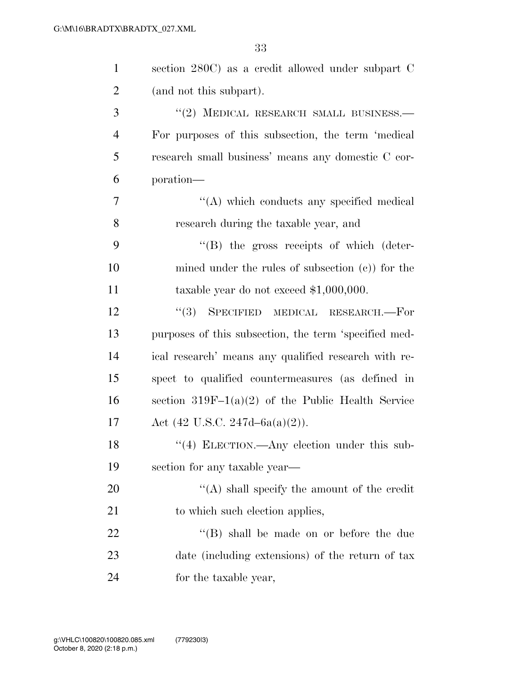| 1              | section 280C) as a credit allowed under subpart C     |
|----------------|-------------------------------------------------------|
| $\overline{2}$ | (and not this subpart).                               |
| 3              | "(2) MEDICAL RESEARCH SMALL BUSINESS.-                |
| $\overline{4}$ | For purposes of this subsection, the term 'medical    |
| 5              | research small business' means any domestic C cor-    |
| 6              | poration—                                             |
| $\overline{7}$ | "(A) which conducts any specified medical             |
| 8              | research during the taxable year, and                 |
| 9              | $\lq\lq$ the gross receipts of which (deter-          |
| 10             | mined under the rules of subsection $(c)$ for the     |
| 11             | taxable year do not exceed $$1,000,000$ .             |
| 12             | (3)<br>SPECIFIED MEDICAL RESEARCH.-For                |
| 13             | purposes of this subsection, the term 'specified med- |
| 14             | ical research' means any qualified research with re-  |
| 15             | spect to qualified countermeasures (as defined in     |
| 16             | section $319F-1(a)(2)$ of the Public Health Service   |
| 17             | Act $(42 \text{ U.S.C. } 247d - 6a(a)(2)).$           |
| 18             | $\lq(4)$ ELECTION.—Any election under this sub-       |
| 19             | section for any taxable year—                         |
| 20             | $\lq\lq$ shall specify the amount of the credit       |
| 21             | to which such election applies,                       |
| 22             | "(B) shall be made on or before the due               |
| 23             | date (including extensions) of the return of tax      |
| 24             | for the taxable year,                                 |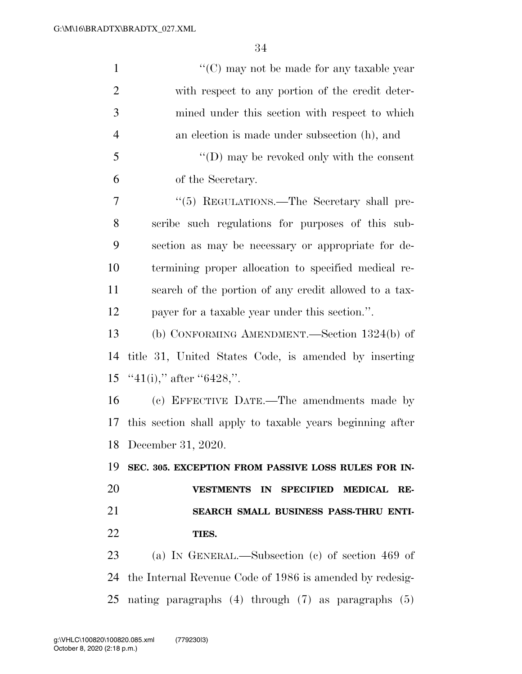| $\mathbf{1}$   | "(C) may not be made for any taxable year                 |
|----------------|-----------------------------------------------------------|
| $\overline{2}$ | with respect to any portion of the credit deter-          |
| 3              | mined under this section with respect to which            |
| $\overline{4}$ | an election is made under subsection (h), and             |
| 5              | "(D) may be revoked only with the consent                 |
| 6              | of the Secretary.                                         |
| 7              | "(5) REGULATIONS.—The Secretary shall pre-                |
| 8              | scribe such regulations for purposes of this sub-         |
| 9              | section as may be necessary or appropriate for de-        |
| 10             | termining proper allocation to specified medical re-      |
| 11             | search of the portion of any credit allowed to a tax-     |
| 12             | payer for a taxable year under this section.".            |
| 13             | (b) CONFORMING AMENDMENT.—Section $1324(b)$ of            |
| 14             | title 31, United States Code, is amended by inserting     |
| 15             | "41(i)," after "6428,".                                   |
| 16             | (c) EFFECTIVE DATE.—The amendments made by                |
| 17             | this section shall apply to taxable years beginning after |
|                | 18 December 31, 2020.                                     |
| 19             | SEC. 305. EXCEPTION FROM PASSIVE LOSS RULES FOR IN-       |
| 20             | VESTMENTS IN SPECIFIED MEDICAL RE-                        |
| 21             | SEARCH SMALL BUSINESS PASS-THRU ENTI-                     |
| 22             | TIES.                                                     |
| 23             | (a) IN GENERAL.—Subsection (c) of section 469 of          |
| 24             | the Internal Revenue Code of 1986 is amended by redesig-  |
| 25             | nating paragraphs $(4)$ through $(7)$ as paragraphs $(5)$ |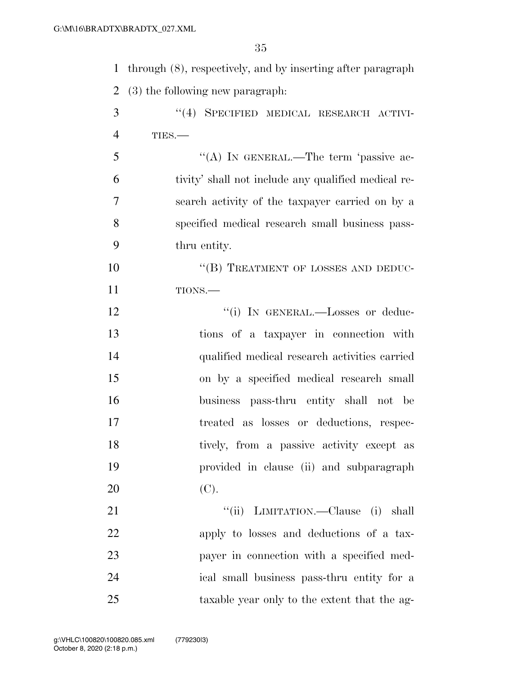| 1              | through $(8)$ , respectively, and by inserting after paragraph |
|----------------|----------------------------------------------------------------|
| $\overline{2}$ | (3) the following new paragraph.                               |
| 3              | "(4) SPECIFIED MEDICAL RESEARCH ACTIVI-                        |
| 4              | TIES.-                                                         |
| 5              | "(A) IN GENERAL.—The term 'passive ac-                         |
| 6              | tivity' shall not include any qualified medical re-            |
| $\overline{7}$ | search activity of the taxpayer carried on by a                |
| 8              | specified medical research small business pass-                |
| 9              | thru entity.                                                   |
| 10             | "(B) TREATMENT OF LOSSES AND DEDUC-                            |
| 11             | TIONS.-                                                        |
| 12             | "(i) IN GENERAL.—Losses or deduc-                              |
| 13             | tions of a taxpayer in connection with                         |
| 14             | qualified medical research activities carried                  |
| 15             | on by a specified medical research small                       |
| 16             | business pass-thru entity shall not be                         |
| 17             | treated as losses or deductions, respec-                       |
| 18             | tively, from a passive activity except as                      |

(C).

21 ''(ii) LIMITATION.—Clause (i) shall apply to losses and deductions of a tax- payer in connection with a specified med- ical small business pass-thru entity for a taxable year only to the extent that the ag-

provided in clause (ii) and subparagraph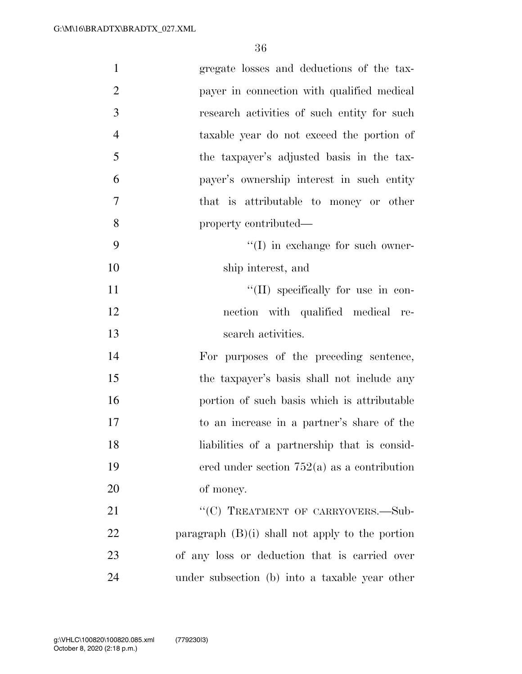| $\mathbf{1}$   | gregate losses and deductions of the tax-         |
|----------------|---------------------------------------------------|
| $\overline{2}$ | payer in connection with qualified medical        |
| 3              | research activities of such entity for such       |
| $\overline{4}$ | taxable year do not exceed the portion of         |
| 5              | the taxpayer's adjusted basis in the tax-         |
| 6              | payer's ownership interest in such entity         |
| $\overline{7}$ | that is attributable to money or other            |
| 8              | property contributed—                             |
| 9              | $\lq\lq$ (I) in exchange for such owner-          |
| 10             | ship interest, and                                |
| 11             | $\lq\lq$ (II) specifically for use in con-        |
| 12             | nection with qualified medical re-                |
| 13             | search activities.                                |
| 14             | For purposes of the preceding sentence,           |
| 15             | the taxpayer's basis shall not include any        |
| 16             | portion of such basis which is attributable       |
| 17             | to an increase in a partner's share of the        |
| 18             | liabilities of a partnership that is consid-      |
| 19             | ered under section $752(a)$ as a contribution     |
| 20             | of money.                                         |
| 21             | "(C) TREATMENT OF CARRYOVERS.-Sub-                |
| 22             | paragraph $(B)(i)$ shall not apply to the portion |
| 23             | of any loss or deduction that is carried over     |
| 24             | under subsection (b) into a taxable year other    |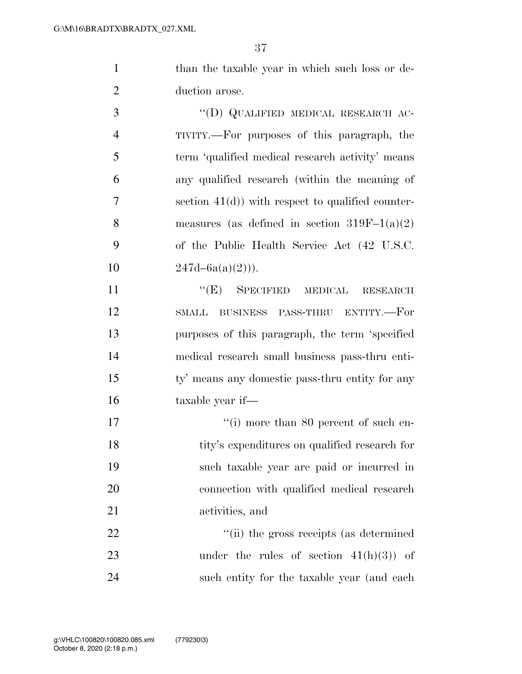1 than the taxable year in which such loss or de-duction arose.

 ''(D) QUALIFIED MEDICAL RESEARCH AC- TIVITY.—For purposes of this paragraph, the term 'qualified medical research activity' means any qualified research (within the meaning of section 41(d)) with respect to qualified counter-8 measures (as defined in section  $319F-1(a)(2)$  of the Public Health Service Act (42 U.S.C.  $247d-6a(a)(2)$ ).

11 "
(E) SPECIFIED MEDICAL RESEARCH SMALL BUSINESS PASS-THRU ENTITY.—For purposes of this paragraph, the term 'specified medical research small business pass-thru enti- ty' means any domestic pass-thru entity for any taxable year if—

 $\frac{1}{10}$  more than 80 percent of such en-18 tity's expenditures on qualified research for such taxable year are paid or incurred in connection with qualified medical research activities, and

22  $\frac{1}{2}$   $\frac{1}{2}$   $\frac{1}{2}$  the gross receipts (as determined 23 under the rules of section  $41(h)(3)$  of such entity for the taxable year (and each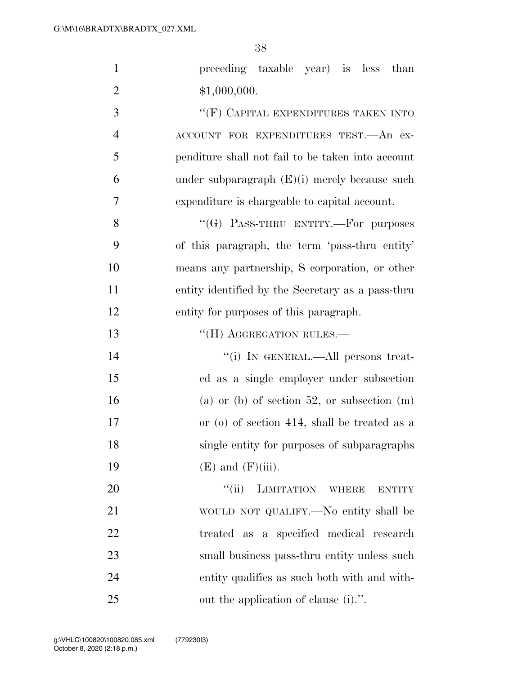| $\mathbf{1}$   | preceding taxable year) is less than              |
|----------------|---------------------------------------------------|
| $\overline{2}$ | \$1,000,000.                                      |
| 3              | $``$ (F) CAPITAL EXPENDITURES TAKEN INTO          |
| $\overline{4}$ | ACCOUNT FOR EXPENDITURES TEST. An ex-             |
| 5              | penditure shall not fail to be taken into account |
| 6              | under subparagraph $(E)(i)$ merely because such   |
| $\overline{7}$ | expenditure is chargeable to capital account.     |
| 8              | "(G) PASS-THRU ENTITY.—For purposes               |
| 9              | of this paragraph, the term 'pass-thru entity'    |
| 10             | means any partnership, S corporation, or other    |
| 11             | entity identified by the Secretary as a pass-thru |
| 12             | entity for purposes of this paragraph.            |
| 13             | $``$ (H) AGGREGATION RULES.—                      |
| 14             | "(i) IN GENERAL.—All persons treat-               |
| 15             | ed as a single employer under subsection          |
| 16             | (a) or (b) of section 52, or subsection $(m)$     |
| 17             | or (o) of section 414, shall be treated as a      |
| 18             | single entity for purposes of subparagraphs       |
| 19             | $(E)$ and $(F)(iii)$ .                            |
| 20             | $\lq(\mathbf{ii})$<br>LIMITATION WHERE<br>ENTITY  |
| 21             | WOULD NOT QUALIFY.—No entity shall be             |
| 22             | treated as a specified medical research           |
| 23             | small business pass-thru entity unless such       |
| 24             | entity qualifies as such both with and with-      |
| 25             | out the application of clause (i).".              |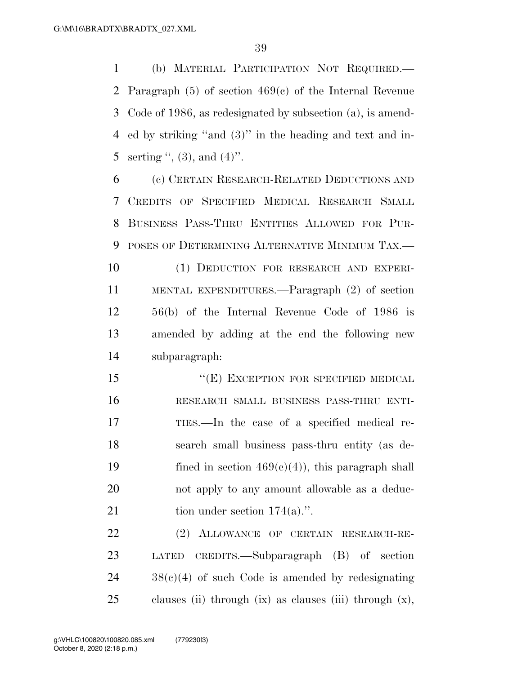(b) MATERIAL PARTICIPATION NOT REQUIRED.— Paragraph (5) of section 469(c) of the Internal Revenue Code of 1986, as redesignated by subsection (a), is amend- ed by striking ''and (3)'' in the heading and text and in-5 serting  $\lqq$ , (3), and (4)".

 (c) CERTAIN RESEARCH-RELATED DEDUCTIONS AND CREDITS OF SPECIFIED MEDICAL RESEARCH SMALL BUSINESS PASS-THRU ENTITIES ALLOWED FOR PUR-POSES OF DETERMINING ALTERNATIVE MINIMUM TAX.—

 (1) DEDUCTION FOR RESEARCH AND EXPERI- MENTAL EXPENDITURES.—Paragraph (2) of section 56(b) of the Internal Revenue Code of 1986 is amended by adding at the end the following new subparagraph:

15 "(E) EXCEPTION FOR SPECIFIED MEDICAL RESEARCH SMALL BUSINESS PASS-THRU ENTI- TIES.—In the case of a specified medical re- search small business pass-thru entity (as de-19 fined in section  $469(c)(4)$ , this paragraph shall not apply to any amount allowable as a deduc-21 tion under section  $174(a)$ .".

 (2) ALLOWANCE OF CERTAIN RESEARCH-RE- LATED CREDITS.—Subparagraph (B) of section 38(c)(4) of such Code is amended by redesignating clauses (ii) through (ix) as clauses (iii) through (x),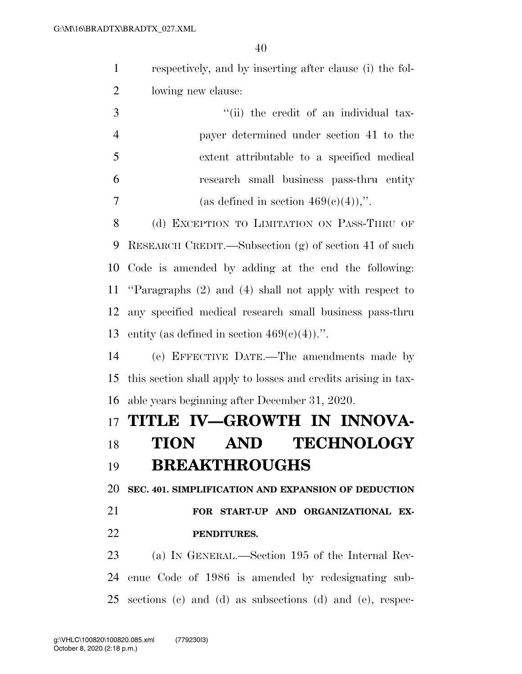respectively, and by inserting after clause (i) the fol-lowing new clause:

|     | "(ii) the credit of an individual tax-     |
|-----|--------------------------------------------|
|     | payer determined under section 41 to the   |
| - 5 | extent attributable to a specified medical |
| -6  | research small business pass-thru entity   |
|     | (as defined in section $469(e)(4)$ ),".    |

8 (d) EXCEPTION TO LIMITATION ON PASS-THRU OF RESEARCH CREDIT.—Subsection (g) of section 41 of such Code is amended by adding at the end the following: ''Paragraphs (2) and (4) shall not apply with respect to any specified medical research small business pass-thru 13 entity (as defined in section  $469(e)(4)$ ).".

 (e) EFFECTIVE DATE.—The amendments made by this section shall apply to losses and credits arising in tax-able years beginning after December 31, 2020.

### **TITLE IV—GROWTH IN INNOVA-**

## **TION AND TECHNOLOGY BREAKTHROUGHS**

**SEC. 401. SIMPLIFICATION AND EXPANSION OF DEDUCTION** 

## **FOR START-UP AND ORGANIZATIONAL EX-PENDITURES.**

 (a) IN GENERAL.—Section 195 of the Internal Rev- enue Code of 1986 is amended by redesignating sub-sections (c) and (d) as subsections (d) and (e), respec-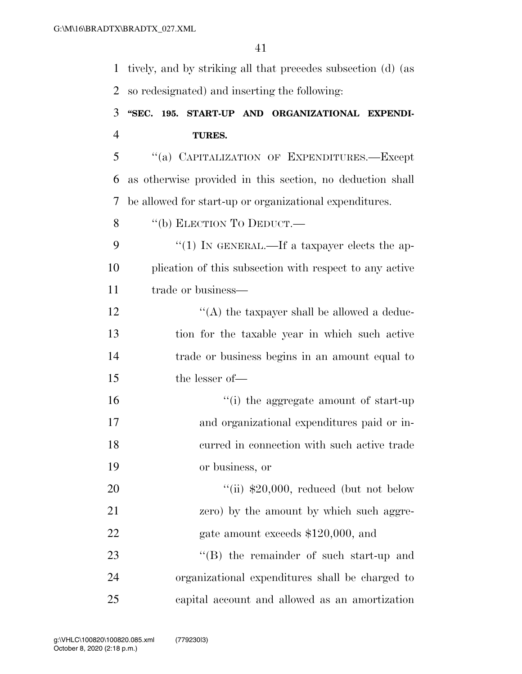tively, and by striking all that precedes subsection (d) (as so redesignated) and inserting the following:

## **''SEC. 195. START-UP AND ORGANIZATIONAL EXPENDI-TURES.**

 ''(a) CAPITALIZATION OF EXPENDITURES.—Except as otherwise provided in this section, no deduction shall be allowed for start-up or organizational expenditures.

8 "(b) ELECTION TO DEDUCT.—

9 "(1) In GENERAL.—If a taxpayer elects the ap- plication of this subsection with respect to any active 11 trade or business—

 $\mathcal{L}$  ''(A) the taxpayer shall be allowed a deduc- tion for the taxable year in which such active trade or business begins in an amount equal to the lesser of—

 ''(i) the aggregate amount of start-up and organizational expenditures paid or in- curred in connection with such active trade or business, or

20  $\frac{1}{11}$  \$20,000, reduced (but not below zero) by the amount by which such aggre-22 gate amount exceeds \$120,000, and 23 ''(B) the remainder of such start-up and

 organizational expenditures shall be charged to capital account and allowed as an amortization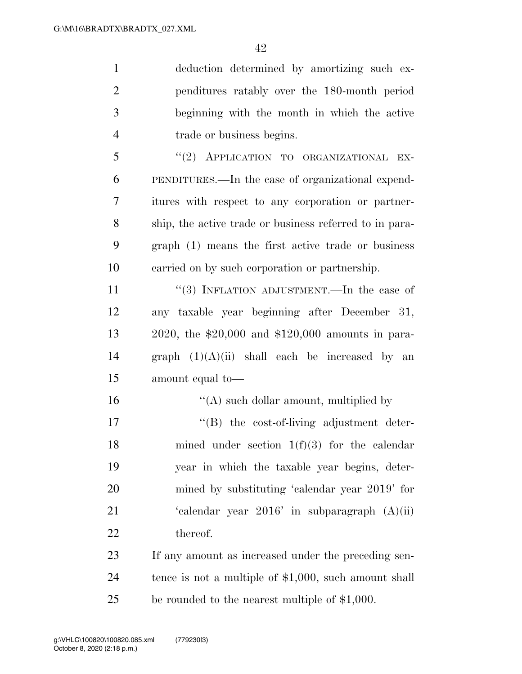| $\mathbf{1}$   | deduction determined by amortizing such ex-             |
|----------------|---------------------------------------------------------|
| $\overline{2}$ | penditures ratably over the 180-month period            |
| 3              | beginning with the month in which the active            |
| $\overline{4}$ | trade or business begins.                               |
| 5              | "(2) APPLICATION TO ORGANIZATIONAL<br>EX-               |
| 6              | PENDITURES.—In the case of organizational expend-       |
| $\overline{7}$ | itures with respect to any corporation or partner-      |
| 8              | ship, the active trade or business referred to in para- |
| 9              | graph (1) means the first active trade or business      |
| 10             | carried on by such corporation or partnership.          |
| 11             | "(3) INFLATION ADJUSTMENT.—In the case of               |
| 12             | any taxable year beginning after December 31,           |
| 13             | 2020, the $$20,000$ and $$120,000$ amounts in para-     |
| 14             | graph $(1)(A)(ii)$ shall each be increased by an        |
| 15             | amount equal to-                                        |
| 16             | "(A) such dollar amount, multiplied by                  |
| 17             | "(B) the cost-of-living adjustment deter-               |
| 18             | mined under section $1(f)(3)$ for the calendar          |
| 19             | year in which the taxable year begins, deter-           |
| 20             | mined by substituting 'calendar year 2019' for          |
| 21             | 'calendar year $2016$ ' in subparagraph $(A)(ii)$       |
| 22             | thereof.                                                |
| 23             | If any amount as increased under the preceding sen-     |
| 24             | tence is not a multiple of $$1,000$ , such amount shall |
| 25             | be rounded to the nearest multiple of \$1,000.          |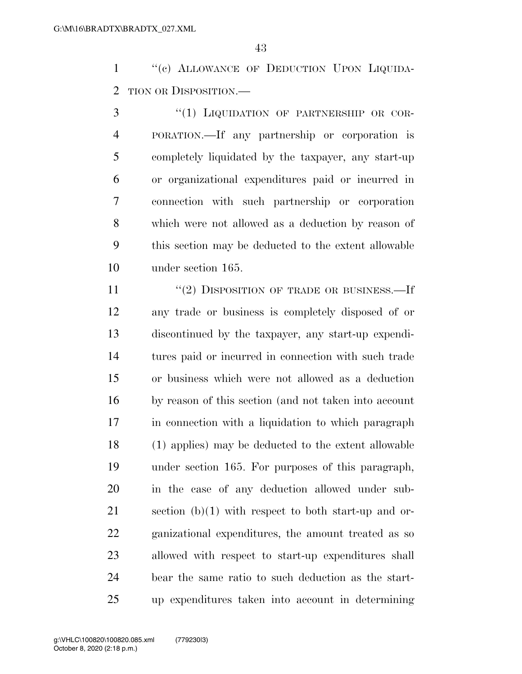1 "(c) ALLOWANCE OF DEDUCTION UPON LIQUIDA-TION OR DISPOSITION.—

3 "(1) LIQUIDATION OF PARTNERSHIP OR COR- PORATION.—If any partnership or corporation is completely liquidated by the taxpayer, any start-up or organizational expenditures paid or incurred in connection with such partnership or corporation which were not allowed as a deduction by reason of this section may be deducted to the extent allowable under section 165.

 ''(2) DISPOSITION OF TRADE OR BUSINESS.—If any trade or business is completely disposed of or discontinued by the taxpayer, any start-up expendi- tures paid or incurred in connection with such trade or business which were not allowed as a deduction by reason of this section (and not taken into account in connection with a liquidation to which paragraph (1) applies) may be deducted to the extent allowable under section 165. For purposes of this paragraph, in the case of any deduction allowed under sub-21 section  $(b)(1)$  with respect to both start-up and or- ganizational expenditures, the amount treated as so allowed with respect to start-up expenditures shall bear the same ratio to such deduction as the start-up expenditures taken into account in determining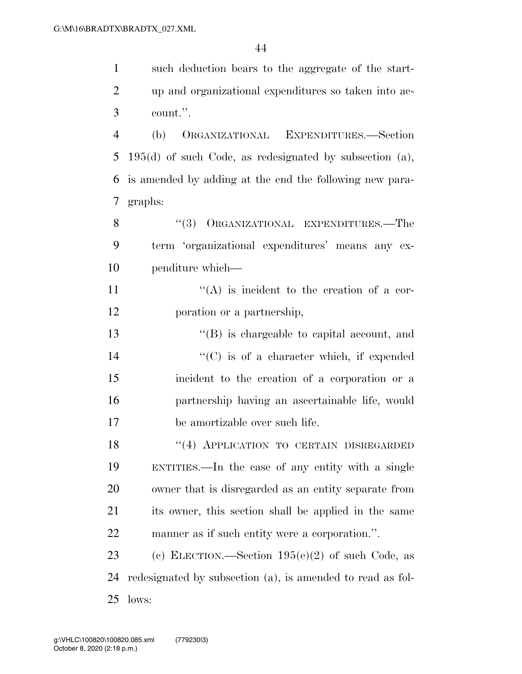| $\mathbf{1}$   | such deduction bears to the aggregate of the start-       |
|----------------|-----------------------------------------------------------|
| $\overline{2}$ | up and organizational expenditures so taken into ac-      |
| 3              | count.".                                                  |
| $\overline{4}$ | ORGANIZATIONAL EXPENDITURES.-Section<br>(b)               |
| 5              | $195(d)$ of such Code, as redesignated by subsection (a), |
| 6              | is amended by adding at the end the following new para-   |
| 7              | graphs:                                                   |
| 8              | "(3) ORGANIZATIONAL EXPENDITURES.—The                     |
| 9              | term 'organizational expenditures' means any ex-          |
| 10             | penditure which—                                          |
| 11             | $\lq\lq$ is incident to the creation of a cor-            |
| 12             | poration or a partnership,                                |
| 13             | $\lq\lq$ is chargeable to capital account, and            |
| 14             | $\lq\lq$ (C) is of a character which, if expended         |
| 15             | incident to the creation of a corporation or a            |
| 16             | partnership having an ascertainable life, would           |

be amortizable over such life.

18 "(4) APPLICATION TO CERTAIN DISREGARDED ENTITIES.—In the case of any entity with a single owner that is disregarded as an entity separate from its owner, this section shall be applied in the same manner as if such entity were a corporation.''.

 (c) ELECTION.—Section 195(e)(2) of such Code, as redesignated by subsection (a), is amended to read as fol-lows: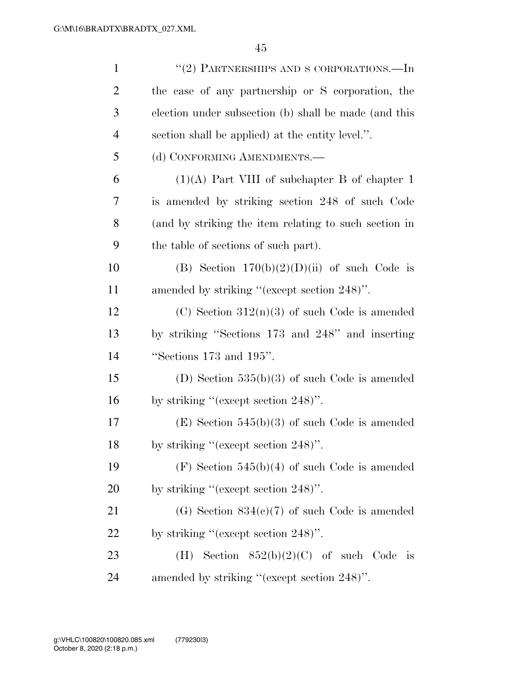| $\mathbf{1}$   | "(2) PARTNERSHIPS AND S CORPORATIONS.—In              |
|----------------|-------------------------------------------------------|
| $\overline{2}$ | the case of any partnership or S corporation, the     |
| 3              | election under subsection (b) shall be made (and this |
| $\overline{4}$ | section shall be applied) at the entity level.".      |
| 5              | (d) CONFORMING AMENDMENTS.—                           |
| 6              | $(1)(A)$ Part VIII of subchapter B of chapter 1       |
| 7              | is amended by striking section 248 of such Code       |
| 8              | (and by striking the item relating to such section in |
| 9              | the table of sections of such part).                  |
| 10             | (B) Section $170(b)(2)(D)(ii)$ of such Code is        |
| 11             | amended by striking "(except section 248)".           |
| 12             | (C) Section $312(n)(3)$ of such Code is amended       |
| 13             | by striking "Sections 173 and 248" and inserting      |
| 14             | "Sections $173$ and $195$ ".                          |
| 15             | (D) Section $535(b)(3)$ of such Code is amended       |
| 16             | by striking "(except section $248$ )".                |
| 17             | $(E)$ Section 545(b)(3) of such Code is amended       |
| 18             | by striking "(except section $248$ )".                |
| 19             | $(F)$ Section 545(b)(4) of such Code is amended       |
| 20             | by striking "(except section 248)".                   |
| 21             | (G) Section $834(c)(7)$ of such Code is amended       |
| 22             | by striking "(except section $248$ )".                |
| 23             | Section $852(b)(2)(C)$ of such Code<br>(H)<br>is      |
| 24             | amended by striking "(except section 248)".           |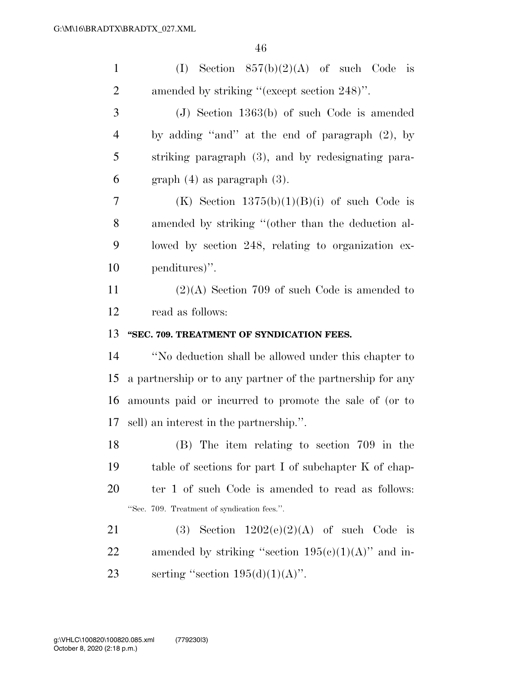| $\mathbf{1}$   | (I) Section $857(b)(2)(A)$ of such Code is                 |
|----------------|------------------------------------------------------------|
| $\overline{2}$ | amended by striking "(except section 248)".                |
| 3              | $(J)$ Section 1363(b) of such Code is amended              |
| $\overline{4}$ | by adding "and" at the end of paragraph $(2)$ , by         |
| 5              | striking paragraph (3), and by redesignating para-         |
| 6              | $graph(4)$ as paragraph $(3)$ .                            |
| 7              | (K) Section $1375(b)(1)(B)(i)$ of such Code is             |
| 8              | amended by striking "(other than the deduction al-         |
| 9              | lowed by section 248, relating to organization ex-         |
| 10             | penditures)".                                              |
| 11             | $(2)(A)$ Section 709 of such Code is amended to            |
| 12             | read as follows:                                           |
|                |                                                            |
| 13             | "SEC. 709. TREATMENT OF SYNDICATION FEES.                  |
| 14             | "No deduction shall be allowed under this chapter to       |
| 15             | a partnership or to any partner of the partnership for any |
| 16             | amounts paid or incurred to promote the sale of (or to     |
| 17             | sell) an interest in the partnership.".                    |
| 18             | (B) The item relating to section 709 in the                |
| 19             | table of sections for part I of subchapter K of chap-      |
| 20             | ter 1 of such Code is amended to read as follows:          |
|                | "Sec. 709. Treatment of syndication fees.".                |
| 21             | Section $1202(e)(2)(A)$ of such Code is<br>(3)             |
| 22             | amended by striking "section $195(c)(1)(A)$ " and in-      |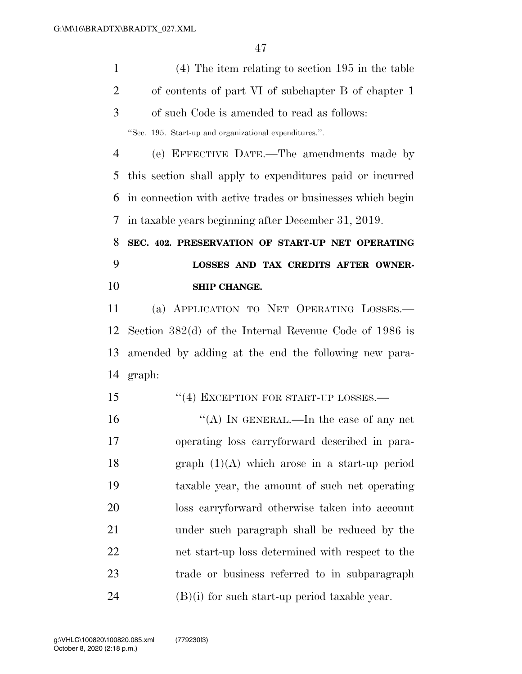(4) The item relating to section 195 in the table of contents of part VI of subchapter B of chapter 1 of such Code is amended to read as follows: ''Sec. 195. Start-up and organizational expenditures.''.

 (e) EFFECTIVE DATE.—The amendments made by this section shall apply to expenditures paid or incurred in connection with active trades or businesses which begin in taxable years beginning after December 31, 2019.

 **SEC. 402. PRESERVATION OF START-UP NET OPERATING LOSSES AND TAX CREDITS AFTER OWNER-SHIP CHANGE.** 

 (a) APPLICATION TO NET OPERATING LOSSES.— Section 382(d) of the Internal Revenue Code of 1986 is amended by adding at the end the following new para-graph:

15 "(4) EXCEPTION FOR START-UP LOSSES.—

 $((A)$  In GENERAL.—In the case of any net operating loss carryforward described in para- graph (1)(A) which arose in a start-up period taxable year, the amount of such net operating loss carryforward otherwise taken into account under such paragraph shall be reduced by the net start-up loss determined with respect to the trade or business referred to in subparagraph (B)(i) for such start-up period taxable year.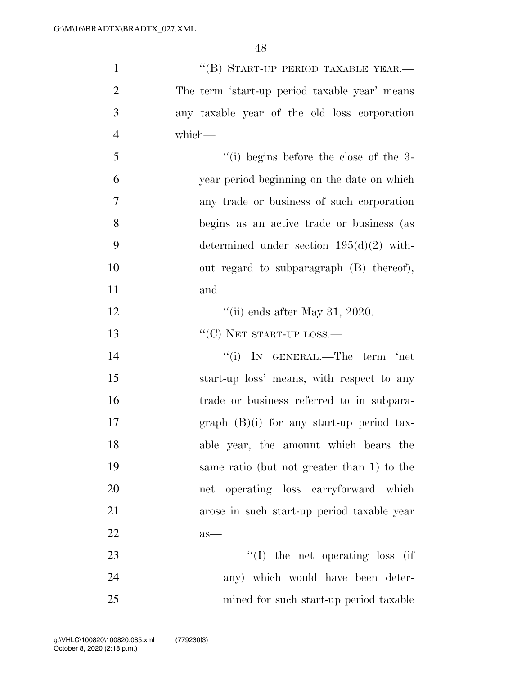| $\mathbf{1}$   | "(B) START-UP PERIOD TAXABLE YEAR.—           |
|----------------|-----------------------------------------------|
| $\overline{2}$ | The term 'start-up period taxable year' means |
| 3              | any taxable year of the old loss corporation  |
| $\overline{4}$ | which-                                        |
| 5              | $``(i)$ begins before the close of the 3-     |
| 6              | year period beginning on the date on which    |
| $\overline{7}$ | any trade or business of such corporation     |
| 8              | begins as an active trade or business (as     |
| 9              | determined under section $195(d)(2)$ with-    |
| 10             | out regard to subparagraph (B) thereof),      |
| 11             | and                                           |
| 12             | "(ii) ends after May 31, 2020.                |
| 13             | $``(C)$ NET START-UP LOSS.—                   |
| 14             | "(i) IN GENERAL.—The term 'net                |
| 15             | start-up loss' means, with respect to any     |
| 16             | trade or business referred to in subpara-     |
| 17             | $graph$ (B)(i) for any start-up period tax-   |
| 18             | able year, the amount which bears the         |
| 19             | same ratio (but not greater than 1) to the    |
| <b>20</b>      | net operating loss carryforward which         |
| 21             | arose in such start-up period taxable year    |
| 22             | $as-$                                         |
| 23             | $\lq\lq$ (I) the net operating loss (if       |
| 24             | any) which would have been deter-             |
| 25             | mined for such start-up period taxable        |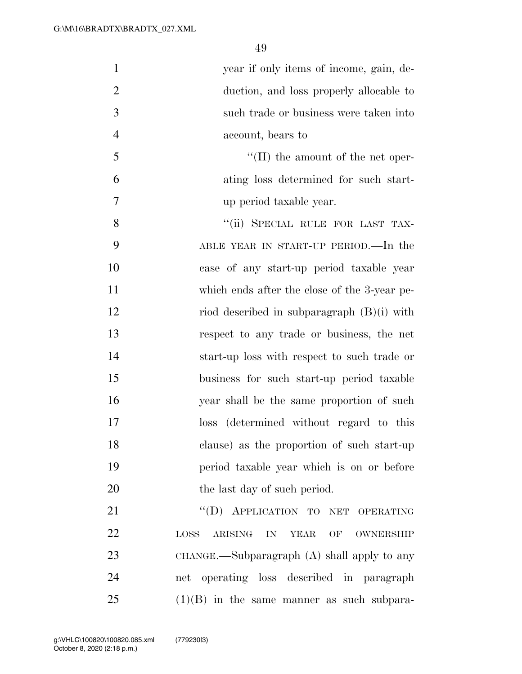| $\mathbf{1}$   | year if only items of income, gain, de-                              |
|----------------|----------------------------------------------------------------------|
| $\overline{2}$ | duction, and loss properly allocable to                              |
| 3              | such trade or business were taken into                               |
| $\overline{4}$ | account, bears to                                                    |
| 5              | $\lq\lq$ (II) the amount of the net oper-                            |
| 6              | ating loss determined for such start-                                |
| $\overline{7}$ | up period taxable year.                                              |
| 8              | "(ii) SPECIAL RULE FOR LAST TAX-                                     |
| 9              | ABLE YEAR IN START-UP PERIOD.—In the                                 |
| 10             | case of any start-up period taxable year                             |
| 11             | which ends after the close of the 3-year pe-                         |
| 12             | riod described in subparagraph $(B)(i)$ with                         |
| 13             | respect to any trade or business, the net                            |
| 14             | start-up loss with respect to such trade or                          |
| 15             | business for such start-up period taxable                            |
| 16             | year shall be the same proportion of such                            |
| 17             | (determined without regard to this<br>$\log s$                       |
| 18             | clause) as the proportion of such start-up                           |
| 19             | period taxable year which is on or before                            |
| 20             | the last day of such period.                                         |
| 21             | "(D) APPLICATION TO NET OPERATING                                    |
| 22             | <b>YEAR</b><br>OWNERSHIP<br>LOSS <sub>1</sub><br>ARISING<br>IN<br>OF |
| 23             | $CHANGE.$ Subparagraph $(A)$ shall apply to any                      |
| 24             | net operating loss described in paragraph                            |
| 25             | $(1)(B)$ in the same manner as such subpara-                         |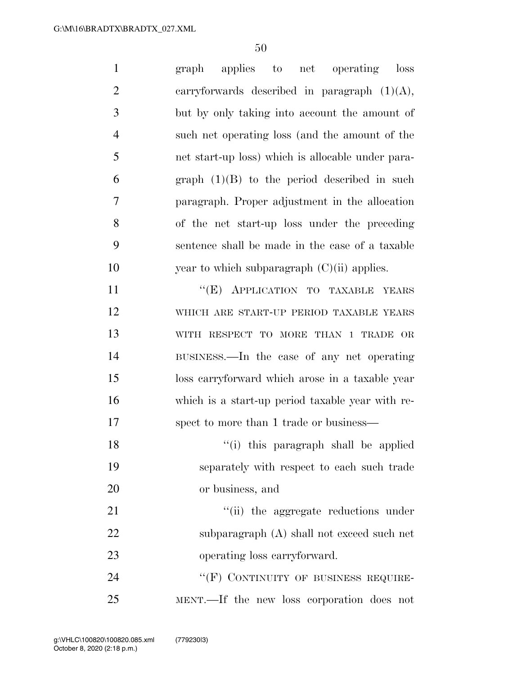| $\mathbf{1}$   | applies to net operating loss<br>graph            |
|----------------|---------------------------------------------------|
| $\overline{2}$ | carryforwards described in paragraph $(1)(A)$ ,   |
| 3              | but by only taking into account the amount of     |
| $\overline{4}$ | such net operating loss (and the amount of the    |
| 5              | net start-up loss) which is allocable under para- |
| 6              | graph $(1)(B)$ to the period described in such    |
| $\tau$         | paragraph. Proper adjustment in the allocation    |
| 8              | of the net start-up loss under the preceding      |
| 9              | sentence shall be made in the case of a taxable   |
| 10             | year to which subparagraph $(C)(ii)$ applies.     |
| 11             | "(E) APPLICATION TO TAXABLE YEARS                 |
| 12             | WHICH ARE START-UP PERIOD TAXABLE YEARS           |
| 13             | WITH RESPECT TO MORE THAN 1 TRADE OR              |
| 14             | BUSINESS.—In the case of any net operating        |
| 15             | loss carryforward which arose in a taxable year   |
| 16             | which is a start-up period taxable year with re-  |
| 17             | spect to more than 1 trade or business—           |
| 18             | "(i) this paragraph shall be applied              |
| 19             | separately with respect to each such trade        |
| 20             | or business, and                                  |
| 21             | "(ii) the aggregate reductions under              |
| 22             | subparagraph (A) shall not exceed such net        |
| 23             | operating loss carryforward.                      |
| 24             | "(F) CONTINUITY OF BUSINESS REQUIRE-              |
| 25             | MENT.—If the new loss corporation does not        |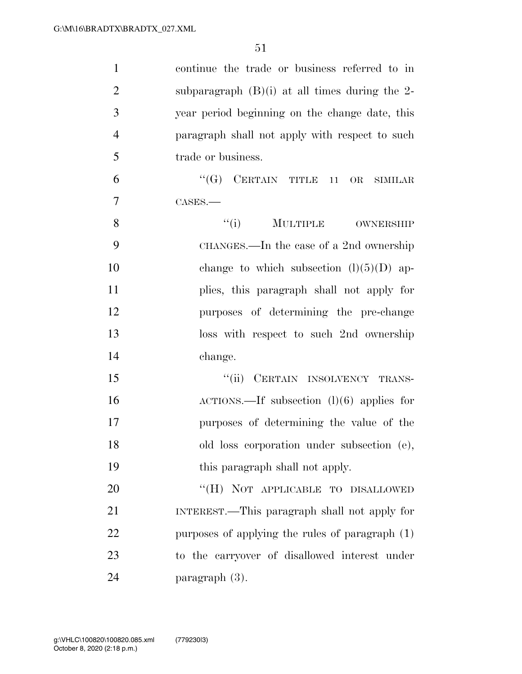| $\mathbf{1}$   | continue the trade or business referred to in      |
|----------------|----------------------------------------------------|
| $\overline{2}$ | subparagraph $(B)(i)$ at all times during the 2-   |
| 3              | year period beginning on the change date, this     |
| $\overline{4}$ | paragraph shall not apply with respect to such     |
| 5              | trade or business.                                 |
| 6              | $``(G)$ CERTAIN TITLE<br>11<br>OR<br>SIMILAR       |
| $\overline{7}$ | CASES.                                             |
| 8              | ``(i)<br>MULTIPLE OWNERSHIP                        |
| 9              | CHANGES.—In the case of a 2nd ownership            |
| 10             | change to which subsection $(l)(5)(D)$ ap-         |
| 11             | plies, this paragraph shall not apply for          |
| 12             | purposes of determining the pre-change             |
| 13             | loss with respect to such 2nd ownership            |
| 14             | change.                                            |
| 15             | CERTAIN INSOLVENCY TRANS-<br>``(ii)                |
| 16             | $\text{ACTIONS.}$ If subsection (1)(6) applies for |
| 17             | purposes of determining the value of the           |
| 18             | old loss corporation under subsection (e),         |
| 19             | this paragraph shall not apply.                    |
| 20             | "(H) NOT APPLICABLE TO DISALLOWED                  |
| 21             | INTEREST.—This paragraph shall not apply for       |
| 22             | purposes of applying the rules of paragraph (1)    |
| 23             | to the carryover of disallowed interest under      |
| 24             | paragraph (3).                                     |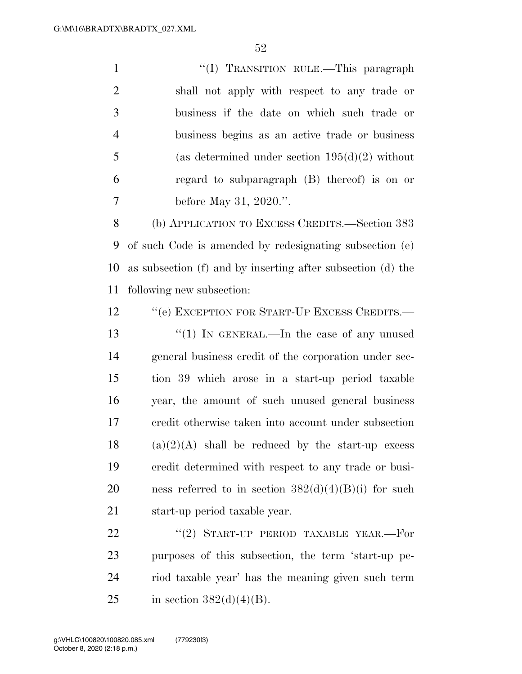1 ''(I) TRANSITION RULE.—This paragraph shall not apply with respect to any trade or business if the date on which such trade or business begins as an active trade or business  $5 \qquad \qquad$  (as determined under section 195(d)(2) without regard to subparagraph (B) thereof) is on or before May 31, 2020.''.

 (b) APPLICATION TO EXCESS CREDITS.—Section 383 of such Code is amended by redesignating subsection (e) as subsection (f) and by inserting after subsection (d) the following new subsection:

12 "'(e) EXCEPTION FOR START-UP EXCESS CREDITS.— 13 "(1) IN GENERAL.—In the case of any unused general business credit of the corporation under sec- tion 39 which arose in a start-up period taxable year, the amount of such unused general business credit otherwise taken into account under subsection (a)(2)(A) shall be reduced by the start-up excess credit determined with respect to any trade or busi-20 ness referred to in section  $382(d)(4)(B)(i)$  for such start-up period taxable year.

22 "(2) START-UP PERIOD TAXABLE YEAR.—For purposes of this subsection, the term 'start-up pe- riod taxable year' has the meaning given such term 25 in section  $382(d)(4)(B)$ .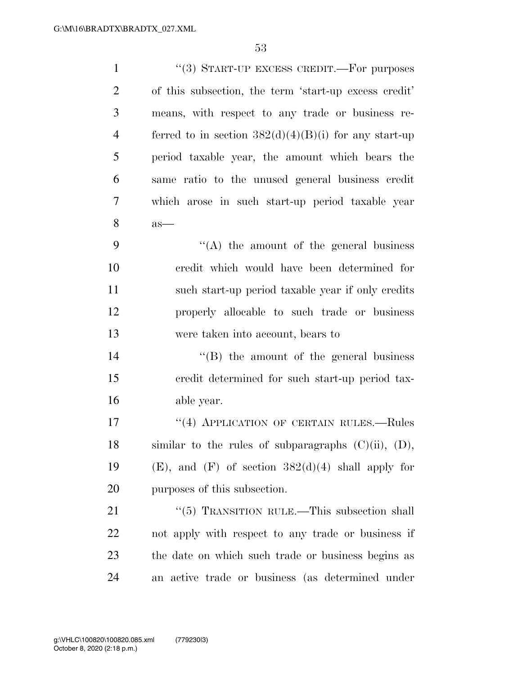| $\mathbf{1}$   | "(3) START-UP EXCESS CREDIT.—For purposes                 |
|----------------|-----------------------------------------------------------|
| $\overline{2}$ | of this subsection, the term 'start-up excess credit'     |
| 3              | means, with respect to any trade or business re-          |
| $\overline{4}$ | ferred to in section $382(d)(4)(B)(i)$ for any start-up   |
| 5              | period taxable year, the amount which bears the           |
| 6              | same ratio to the unused general business credit          |
| $\overline{7}$ | which arose in such start-up period taxable year          |
| 8              | $as-$                                                     |
| 9              | $\cdot$ (A) the amount of the general business            |
| 10             | credit which would have been determined for               |
| 11             | such start-up period taxable year if only credits         |
| 12             | properly allocable to such trade or business              |
| 13             | were taken into account, bears to                         |
| 14             | $\lq\lq (B)$ the amount of the general business           |
| 15             | credit determined for such start-up period tax-           |
| 16             | able year.                                                |
| 17             | "(4) APPLICATION OF CERTAIN RULES.—Rules                  |
| 18             | similar to the rules of subparagraphs $(C)(ii)$ , $(D)$ , |
| 19             | $(E)$ , and $(F)$ of section $382(d)(4)$ shall apply for  |
| 20             | purposes of this subsection.                              |
| 21             | " $(5)$ TRANSITION RULE.—This subsection shall            |
| 22             | not apply with respect to any trade or business if        |
| 23             | the date on which such trade or business begins as        |
| 24             | an active trade or business (as determined under          |